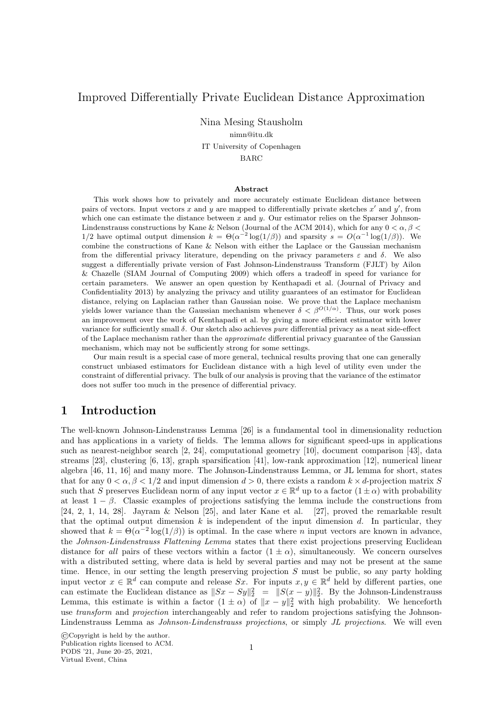# Improved Differentially Private Euclidean Distance Approximation

Nina Mesing Stausholm nimn@itu.dk IT University of Copenhagen

BARC

#### Abstract

This work shows how to privately and more accurately estimate Euclidean distance between pairs of vectors. Input vectors x and y are mapped to differentially private sketches  $x'$  and  $y'$ , from which one can estimate the distance between x and y. Our estimator relies on the Sparser Johnson-Lindenstrauss constructions by Kane & Nelson (Journal of the ACM 2014), which for any  $0 < \alpha, \beta <$ 1/2 have optimal output dimension  $k = \Theta(\alpha^{-2} \log(1/\beta))$  and sparsity  $s = O(\alpha^{-1} \log(1/\beta))$ . We combine the constructions of Kane & Nelson with either the Laplace or the Gaussian mechanism from the differential privacy literature, depending on the privacy parameters ε and δ. We also suggest a differentially private version of Fast Johnson-Lindenstrauss Transform (FJLT) by Ailon & Chazelle (SIAM Journal of Computing 2009) which offers a tradeoff in speed for variance for certain parameters. We answer an open question by Kenthapadi et al. (Journal of Privacy and Confidentiality 2013) by analyzing the privacy and utility guarantees of an estimator for Euclidean distance, relying on Laplacian rather than Gaussian noise. We prove that the Laplace mechanism yields lower variance than the Gaussian mechanism whenever  $\delta < \beta^{O(1/\alpha)}$ . Thus, our work poses an improvement over the work of Kenthapadi et al. by giving a more efficient estimator with lower variance for sufficiently small δ. Our sketch also achieves pure differential privacy as a neat side-effect of the Laplace mechanism rather than the approximate differential privacy guarantee of the Gaussian mechanism, which may not be sufficiently strong for some settings.

Our main result is a special case of more general, technical results proving that one can generally construct unbiased estimators for Euclidean distance with a high level of utility even under the constraint of differential privacy. The bulk of our analysis is proving that the variance of the estimator does not suffer too much in the presence of differential privacy.

# 1 Introduction

The well-known Johnson-Lindenstrauss Lemma [26] is a fundamental tool in dimensionality reduction and has applications in a variety of fields. The lemma allows for significant speed-ups in applications such as nearest-neighbor search [2, 24], computational geometry [10], document comparison [43], data streams [23], clustering [6, 13], graph sparsification [41], low-rank approximation [12], numerical linear algebra [46, 11, 16] and many more. The Johnson-Lindenstrauss Lemma, or JL lemma for short, states that for any  $0 < \alpha, \beta < 1/2$  and input dimension  $d > 0$ , there exists a random  $k \times d$ -projection matrix S such that S preserves Euclidean norm of any input vector  $x \in \mathbb{R}^d$  up to a factor  $(1 \pm \alpha)$  with probability at least  $1 - \beta$ . Classic examples of projections satisfying the lemma include the constructions from [24, 2, 1, 14, 28]. Jayram & Nelson [25], and later Kane et al. [27], proved the remarkable result that the optimal output dimension  $k$  is independent of the input dimension  $d$ . In particular, they showed that  $k = \Theta(\alpha^{-2} \log(1/\beta))$  is optimal. In the case where *n* input vectors are known in advance, the Johnson-Lindenstrauss Flattening Lemma states that there exist projections preserving Euclidean distance for all pairs of these vectors within a factor  $(1 \pm \alpha)$ , simultaneously. We concern ourselves with a distributed setting, where data is held by several parties and may not be present at the same time. Hence, in our setting the length preserving projection  $S$  must be public, so any party holding input vector  $x \in \mathbb{R}^d$  can compute and release Sx. For inputs  $x, y \in \mathbb{R}^d$  held by different parties, one can estimate the Euclidean distance as  $||Sx - Sy||_2^2 = ||S(x - y)||_2^2$ . By the Johnson-Lindenstrauss Lemma, this estimate is within a factor  $(1 \pm \alpha)$  of  $||x - y||_2^2$  with high probability. We henceforth use transform and projection interchangeably and refer to random projections satisfying the Johnson-Lindenstrauss Lemma as *Johnson-Lindenstrauss projections*, or simply JL projections. We will even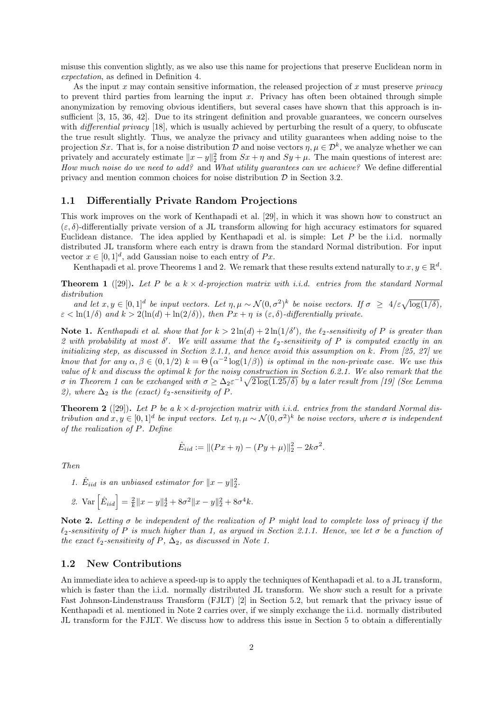misuse this convention slightly, as we also use this name for projections that preserve Euclidean norm in expectation, as defined in Definition 4.

As the input  $x$  may contain sensitive information, the released projection of  $x$  must preserve *privacy* to prevent third parties from learning the input  $x$ . Privacy has often been obtained through simple anonymization by removing obvious identifiers, but several cases have shown that this approach is insufficient [3, 15, 36, 42]. Due to its stringent definition and provable guarantees, we concern ourselves with *differential privacy* [18], which is usually achieved by perturbing the result of a query, to obfuscate the true result slightly. Thus, we analyze the privacy and utility guarantees when adding noise to the projection Sx. That is, for a noise distribution D and noise vectors  $\eta, \mu \in \mathcal{D}^k$ , we analyze whether we can privately and accurately estimate  $||x - y||_2^2$  from  $Sx + \eta$  and  $Sy + \mu$ . The main questions of interest are: How much noise do we need to add? and What utility guarantees can we achieve? We define differential privacy and mention common choices for noise distribution  $D$  in Section 3.2.

#### 1.1 Differentially Private Random Projections

This work improves on the work of Kenthapadi et al. [29], in which it was shown how to construct an  $(\varepsilon, \delta)$ -differentially private version of a JL transform allowing for high accuracy estimators for squared Euclidean distance. The idea applied by Kenthapadi et al. is simple: Let  $P$  be the i.i.d. normally distributed JL transform where each entry is drawn from the standard Normal distribution. For input vector  $x \in [0, 1]^d$ , add Gaussian noise to each entry of Px.

Kenthapadi et al. prove Theorems 1 and 2. We remark that these results extend naturally to  $x, y \in \mathbb{R}^d$ .

**Theorem 1** ([29]). Let P be a  $k \times d$ -projection matrix with i.i.d. entries from the standard Normal distribution

and let  $x, y \in [0,1]^d$  be input vectors. Let  $\eta, \mu \sim \mathcal{N}(0, \sigma^2)^k$  be noise vectors. If  $\sigma \geq 4/\varepsilon \sqrt{\log(1/\delta)}$ ,  $\varepsilon < \ln(1/\delta)$  and  $k > 2(\ln(d) + \ln(2/\delta))$ , then  $Px + \eta$  is  $(\varepsilon, \delta)$ -differentially private.

Note 1. Kenthapadi et al. show that for  $k > 2\ln(d) + 2\ln(1/\delta')$ , the  $\ell_2$ -sensitivity of P is greater than 2 with probability at most  $\delta'$ . We will assume that the  $\ell_2$ -sensitivity of P is computed exactly in an initializing step, as discussed in Section 2.1.1, and hence avoid this assumption on k. From [25, 27] we know that for any  $\alpha, \beta \in (0, 1/2)$   $k = \Theta(\alpha^{-2} \log(1/\beta))$  is optimal in the non-private case. We use this value of k and discuss the optimal k for the noisy construction in Section 6.2.1. We also remark that the  $\sigma$  in Theorem 1 can be exchanged with  $\sigma \geq \Delta_2 \varepsilon^{-1} \sqrt{2 \log(1.25/\delta)}$  by a later result from [19] (See Lemma 2), where  $\Delta_2$  is the (exact)  $\ell_2$ -sensitivity of P.

**Theorem 2** ([29]). Let P be a  $k \times d$ -projection matrix with i.i.d. entries from the standard Normal distribution and  $x, y \in [0,1]^d$  be input vectors. Let  $\eta, \mu \sim \mathcal{N}(0, \sigma^2)^k$  be noise vectors, where  $\sigma$  is independent of the realization of P. Define

$$
\hat{E}_{iid} := ||(Px + \eta) - (Py + \mu)||_2^2 - 2k\sigma^2.
$$

Then

1.  $\hat{E}_{iid}$  is an unbiased estimator for  $||x-y||_2^2$ .

2. Var 
$$
\left[\hat{E}_{iid}\right] = \frac{2}{k} ||x - y||_2^4 + 8\sigma^2 ||x - y||_2^2 + 8\sigma^4 k
$$
.

Note 2. Letting  $\sigma$  be independent of the realization of P might lead to complete loss of privacy if the  $\ell_2$ -sensitivity of P is much higher than 1, as argued in Section 2.1.1. Hence, we let  $\sigma$  be a function of the exact  $\ell_2$ -sensitivity of P,  $\Delta_2$ , as discussed in Note 1.

### 1.2 New Contributions

An immediate idea to achieve a speed-up is to apply the techniques of Kenthapadi et al. to a JL transform, which is faster than the i.i.d. normally distributed JL transform. We show such a result for a private Fast Johnson-Lindenstrauss Transform (FJLT) [2] in Section 5.2, but remark that the privacy issue of Kenthapadi et al. mentioned in Note 2 carries over, if we simply exchange the i.i.d. normally distributed JL transform for the FJLT. We discuss how to address this issue in Section 5 to obtain a differentially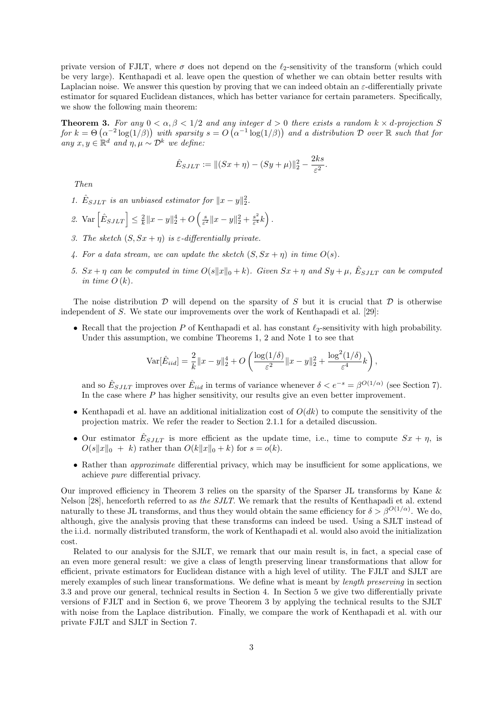private version of FJLT, where  $\sigma$  does not depend on the  $\ell_2$ -sensitivity of the transform (which could be very large). Kenthapadi et al. leave open the question of whether we can obtain better results with Laplacian noise. We answer this question by proving that we can indeed obtain an  $\varepsilon$ -differentially private estimator for squared Euclidean distances, which has better variance for certain parameters. Specifically, we show the following main theorem:

**Theorem 3.** For any  $0 < \alpha, \beta < 1/2$  and any integer  $d > 0$  there exists a random  $k \times d$ -projection S for  $k = \Theta\left(\alpha^{-2}\log(1/\beta)\right)$  with sparsity  $s = O\left(\alpha^{-1}\log(1/\beta)\right)$  and a distribution  $\mathcal D$  over  $\mathbb R$  such that for any  $x, y \in \mathbb{R}^d$  and  $\eta, \mu \sim \mathcal{D}^k$  we define:

$$
\hat{E}_{SJLT} := ||(Sx + \eta) - (Sy + \mu)||_2^2 - \frac{2ks}{\varepsilon^2}.
$$

Then

- 1.  $\hat{E}_{SJLT}$  is an unbiased estimator for  $||x-y||_2^2$ .
- 2. Var  $\left[\hat{E}_{SJLT}\right] \leq \frac{2}{k} \|x y\|_2^4 + O\left(\frac{s}{\varepsilon^2} \|x y\|_2^2 + \frac{s^2}{\varepsilon^4}\right)$  $\frac{s^2}{\varepsilon^4}k\Big)$ .
- 3. The sketch  $(S, Sx + \eta)$  is  $\varepsilon$ -differentially private.
- 4. For a data stream, we can update the sketch  $(S, Sx + \eta)$  in time  $O(s)$ .
- 5.  $Sx + \eta$  can be computed in time  $O(s||x||_0 + k)$ . Given  $Sx + \eta$  and  $Sy + \mu$ ,  $\hat{E}_{SJLT}$  can be computed in time  $O(k)$ .

The noise distribution  $\mathcal D$  will depend on the sparsity of S but it is crucial that  $\mathcal D$  is otherwise independent of S. We state our improvements over the work of Kenthapadi et al. [29]:

• Recall that the projection  $P$  of Kenthapadi et al. has constant  $\ell_2$ -sensitivity with high probability. Under this assumption, we combine Theorems 1, 2 and Note 1 to see that

$$
\text{Var}[\hat{E}_{iid}] = \frac{2}{k} \|x-y\|_2^4 + O\left(\frac{\log(1/\delta)}{\varepsilon^2} \|x-y\|_2^2 + \frac{\log^2(1/\delta)}{\varepsilon^4} k\right)
$$

,

and so  $\hat{E}_{SJLT}$  improves over  $\hat{E}_{iid}$  in terms of variance whenever  $\delta < e^{-s} = \beta^{O(1/\alpha)}$  (see Section 7). In the case where P has higher sensitivity, our results give an even better improvement.

- Kenthapadi et al. have an additional initialization cost of  $O(dk)$  to compute the sensitivity of the projection matrix. We refer the reader to Section 2.1.1 for a detailed discussion.
- Our estimator  $\hat{E}_{SJLT}$  is more efficient as the update time, i.e., time to compute  $Sx + \eta$ , is  $O(s||x||_0 + k)$  rather than  $O(k||x||_0 + k)$  for  $s = o(k)$ .
- Rather than *approximate* differential privacy, which may be insufficient for some applications, we achieve pure differential privacy.

Our improved efficiency in Theorem 3 relies on the sparsity of the Sparser JL transforms by Kane & Nelson [28], henceforth referred to as the SJLT. We remark that the results of Kenthapadi et al. extend naturally to these JL transforms, and thus they would obtain the same efficiency for  $\delta > \beta^{O(1/\alpha)}$ . We do, although, give the analysis proving that these transforms can indeed be used. Using a SJLT instead of the i.i.d. normally distributed transform, the work of Kenthapadi et al. would also avoid the initialization cost.

Related to our analysis for the SJLT, we remark that our main result is, in fact, a special case of an even more general result: we give a class of length preserving linear transformations that allow for efficient, private estimators for Euclidean distance with a high level of utility. The FJLT and SJLT are merely examples of such linear transformations. We define what is meant by length preserving in section 3.3 and prove our general, technical results in Section 4. In Section 5 we give two differentially private versions of FJLT and in Section 6, we prove Theorem 3 by applying the technical results to the SJLT with noise from the Laplace distribution. Finally, we compare the work of Kenthapadi et al. with our private FJLT and SJLT in Section 7.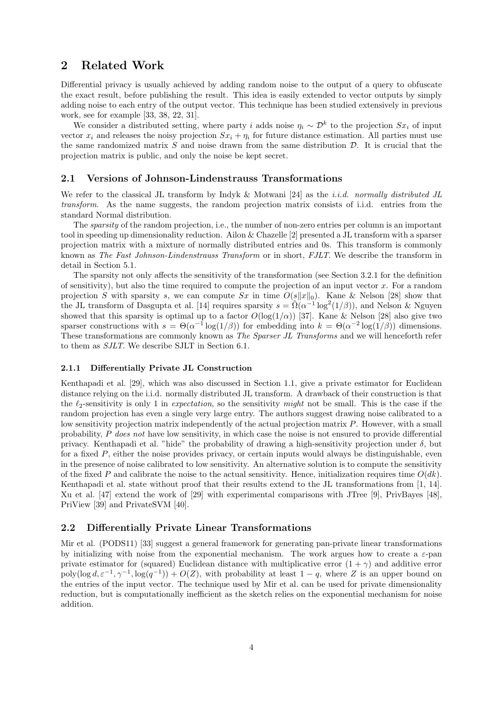# 2 Related Work

Differential privacy is usually achieved by adding random noise to the output of a query to obfuscate the exact result, before publishing the result. This idea is easily extended to vector outputs by simply adding noise to each entry of the output vector. This technique has been studied extensively in previous work, see for example [33, 38, 22, 31].

We consider a distributed setting, where party i adds noise  $\eta_i \sim \mathcal{D}^k$  to the projection  $Sx_i$  of input vector  $x_i$  and releases the noisy projection  $Sx_i + \eta_i$  for future distance estimation. All parties must use the same randomized matrix  $S$  and noise drawn from the same distribution  $D$ . It is crucial that the projection matrix is public, and only the noise be kept secret.

#### 2.1 Versions of Johnson-Lindenstrauss Transformations

We refer to the classical JL transform by Indyk & Motwani [24] as the *i.i.d.* normally distributed JL transform. As the name suggests, the random projection matrix consists of i.i.d. entries from the standard Normal distribution.

The sparsity of the random projection, i.e., the number of non-zero entries per column is an important tool in speeding up dimensionality reduction. Ailon & Chazelle [2] presented a JL transform with a sparser projection matrix with a mixture of normally distributed entries and 0s. This transform is commonly known as The Fast Johnson-Lindenstrauss Transform or in short, FJLT. We describe the transform in detail in Section 5.1.

The sparsity not only affects the sensitivity of the transformation (see Section 3.2.1 for the definition of sensitivity), but also the time required to compute the projection of an input vector  $x$ . For a random projection S with sparsity s, we can compute Sx in time  $O(s||x||_0)$ . Kane & Nelson [28] show that the JL transform of Dasgupta et al. [14] requires sparsity  $s = \tilde{\Omega}(\alpha^{-1} \log^2(1/\beta))$ , and Nelson & Nguyen showed that this sparsity is optimal up to a factor  $O(\log(1/\alpha))$  [37]. Kane & Nelson [28] also give two sparser constructions with  $s = \Theta(\alpha^{-1} \log(1/\beta))$  for embedding into  $k = \Theta(\alpha^{-2} \log(1/\beta))$  dimensions. These transformations are commonly known as The Sparser JL Transforms and we will henceforth refer to them as SJLT. We describe SJLT in Section 6.1.

#### 2.1.1 Differentially Private JL Construction

Kenthapadi et al. [29], which was also discussed in Section 1.1, give a private estimator for Euclidean distance relying on the i.i.d. normally distributed JL transform. A drawback of their construction is that the  $\ell_2$ -sensitivity is only 1 in *expectation*, so the sensitivity might not be small. This is the case if the random projection has even a single very large entry. The authors suggest drawing noise calibrated to a low sensitivity projection matrix independently of the actual projection matrix P. However, with a small probability, P does not have low sensitivity, in which case the noise is not ensured to provide differential privacy. Kenthapadi et al. "hide" the probability of drawing a high-sensitivity projection under  $\delta$ , but for a fixed P, either the noise provides privacy, or certain inputs would always be distinguishable, even in the presence of noise calibrated to low sensitivity. An alternative solution is to compute the sensitivity of the fixed P and calibrate the noise to the actual sensitivity. Hence, initialization requires time  $O(dk)$ . Kenthapadi et al. state without proof that their results extend to the JL transformations from [1, 14]. Xu et al. [47] extend the work of [29] with experimental comparisons with JTree [9], PrivBayes [48], PriView [39] and PrivateSVM [40].

### 2.2 Differentially Private Linear Transformations

Mir et al. (PODS11) [33] suggest a general framework for generating pan-private linear transformations by initializing with noise from the exponential mechanism. The work argues how to create a  $\varepsilon$ -pan private estimator for (squared) Euclidean distance with multiplicative error  $(1 + \gamma)$  and additive error poly(log  $d, \varepsilon^{-1}, \gamma^{-1}, \log(q^{-1})$ ) +  $O(Z)$ , with probability at least  $1-q$ , where Z is an upper bound on the entries of the input vector. The technique used by Mir et al. can be used for private dimensionality reduction, but is computationally inefficient as the sketch relies on the exponential mechanism for noise addition.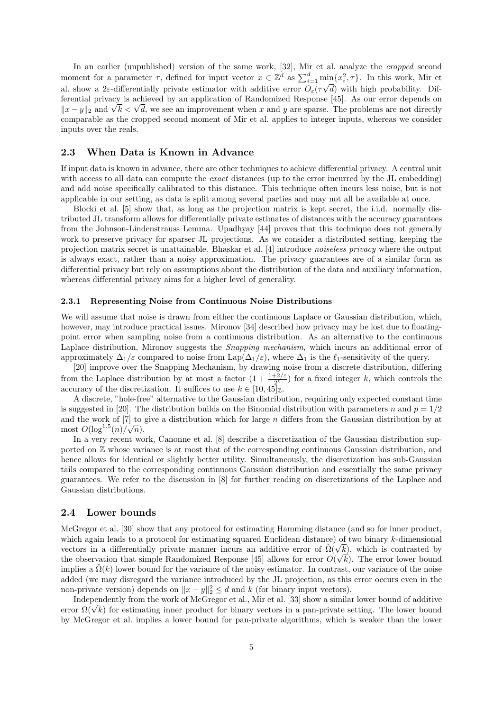In an earlier (unpublished) version of the same work, [32], Mir et al. analyze the cropped second moment for a parameter  $\tau$ , defined for input vector  $x \in \mathbb{Z}^d$  as  $\sum_{i=1}^d \min\{x_i^2, \tau\}$ . In this work, Mir et al. show a 2 $\varepsilon$ -differentially private estimator with additive error  $O_{\varepsilon}(\tau)$ √ d) with high probability. Differential privacy is achieved by an application of Randomized Response [45]. As our error depends on expected that privacy is achieved by an application of Kandomized Response [45]. As our error depends on  $||x - y||_2$  and  $\sqrt{k} < \sqrt{d}$ , we see an improvement when x and y are sparse. The problems are not directly comparable as the cropped second moment of Mir et al. applies to integer inputs, whereas we consider inputs over the reals.

#### 2.3 When Data is Known in Advance

If input data is known in advance, there are other techniques to achieve differential privacy. A central unit with access to all data can compute the *exact* distances (up to the error incurred by the JL embedding) and add noise specifically calibrated to this distance. This technique often incurs less noise, but is not applicable in our setting, as data is split among several parties and may not all be available at once.

Blocki et al. [5] show that, as long as the projection matrix is kept secret, the i.i.d. normally distributed JL transform allows for differentially private estimates of distances with the accuracy guarantees from the Johnson-Lindenstrauss Lemma. Upadhyay [44] proves that this technique does not generally work to preserve privacy for sparser JL projections. As we consider a distributed setting, keeping the projection matrix secret is unattainable. Bhaskar et al. [4] introduce noiseless privacy where the output is always exact, rather than a noisy approximation. The privacy guarantees are of a similar form as differential privacy but rely on assumptions about the distribution of the data and auxiliary information, whereas differential privacy aims for a higher level of generality.

#### 2.3.1 Representing Noise from Continuous Noise Distributions

We will assume that noise is drawn from either the continuous Laplace or Gaussian distribution, which, however, may introduce practical issues. Mironov [34] described how privacy may be lost due to floatingpoint error when sampling noise from a continuous distribution. As an alternative to the continuous Laplace distribution, Mironov suggests the *Snapping mechanism*, which incurs an additional error of approximately  $\Delta_1/\varepsilon$  compared to noise from Lap( $\Delta_1/\varepsilon$ ), where  $\Delta_1$  is the  $\ell_1$ -sensitivity of the query.

[20] improve over the Snapping Mechanism, by drawing noise from a discrete distribution, differing from the Laplace distribution by at most a factor  $(1 + \frac{1+2/\varepsilon}{2^k})$  for a fixed integer k, which controls the accuracy of the discretization. It suffices to use  $k \in [10, 45]_{\mathbb{Z}}$ .

A discrete, "hole-free" alternative to the Gaussian distribution, requiring only expected constant time is suggested in [20]. The distribution builds on the Binomial distribution with parameters n and  $p = 1/2$ and the work of [7] to give a distribution which for large *n* differs from the Gaussian distribution by at most  $O(\log^{1.5}(n)/\sqrt{n}).$ 

In a very recent work, Canonne et al. [8] describe a discretization of the Gaussian distribution supported on  $\mathbb Z$  whose variance is at most that of the corresponding continuous Gaussian distribution, and hence allows for identical or slightly better utility. Simultaneously, the discretization has sub-Gaussian tails compared to the corresponding continuous Gaussian distribution and essentially the same privacy guarantees. We refer to the discussion in [8] for further reading on discretizations of the Laplace and Gaussian distributions.

### 2.4 Lower bounds

McGregor et al. [30] show that any protocol for estimating Hamming distance (and so for inner product, which again leads to a protocol for estimating squared Euclidean distance) of two binary k-dimensional vectors in a differentially private manner incurs an additive error of  $\tilde{\Omega}(\sqrt{k})$ , which is contrasted by the observation that simple Randomized Response [45] allows for error  $O(\sqrt{k})$ . The error lower bound implies a  $\tilde{\Omega}(k)$  lower bound for the variance of the noisy estimator. In contrast, our variance of the noise added (we may disregard the variance introduced by the JL projection, as this error occurs even in the non-private version) depends on  $||x - y||_2^2 \le d$  and k (for binary input vectors).

Independently from the work of McGregor et al., Mir et al. [33] show a similar lower bound of additive mae pendently from the work of McGregor et al., Mir et al. [35] show a similar lower bound of additive error  $\Omega(\sqrt{k})$  for estimating inner product for binary vectors in a pan-private setting. The lower bound by McGregor et al. implies a lower bound for pan-private algorithms, which is weaker than the lower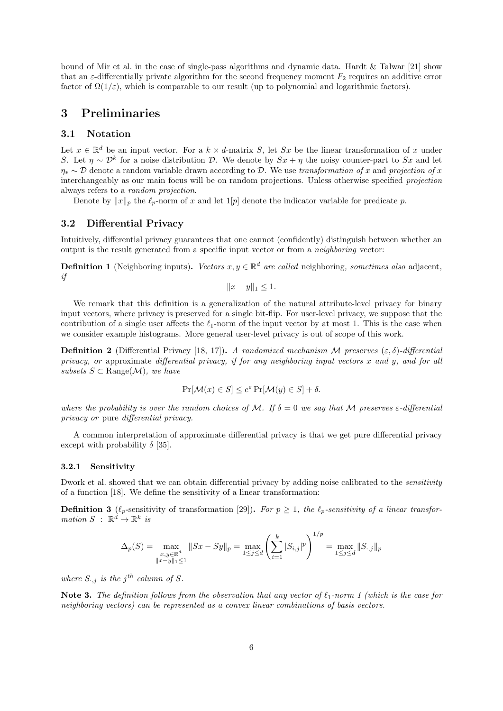bound of Mir et al. in the case of single-pass algorithms and dynamic data. Hardt & Talwar [21] show that an  $\varepsilon$ -differentially private algorithm for the second frequency moment  $F_2$  requires an additive error factor of  $\Omega(1/\varepsilon)$ , which is comparable to our result (up to polynomial and logarithmic factors).

## 3 Preliminaries

### 3.1 Notation

Let  $x \in \mathbb{R}^d$  be an input vector. For a  $k \times d$ -matrix S, let Sx be the linear transformation of x under S. Let  $\eta \sim \mathcal{D}^k$  for a noise distribution  $\mathcal{D}$ . We denote by  $Sx + \eta$  the noisy counter-part to Sx and let  $\eta_* \sim \mathcal{D}$  denote a random variable drawn according to  $\mathcal{D}$ . We use transformation of x and projection of x interchangeably as our main focus will be on random projections. Unless otherwise specified projection always refers to a random projection.

Denote by  $||x||_p$  the  $\ell_p$ -norm of x and let 1[p] denote the indicator variable for predicate p.

### 3.2 Differential Privacy

Intuitively, differential privacy guarantees that one cannot (confidently) distinguish between whether an output is the result generated from a specific input vector or from a neighboring vector:

**Definition 1** (Neighboring inputs). Vectors  $x, y \in \mathbb{R}^d$  are called neighboring, sometimes also adjacent, if

$$
||x - y||_1 \le 1.
$$

We remark that this definition is a generalization of the natural attribute-level privacy for binary input vectors, where privacy is preserved for a single bit-flip. For user-level privacy, we suppose that the contribution of a single user affects the  $\ell_1$ -norm of the input vector by at most 1. This is the case when we consider example histograms. More general user-level privacy is out of scope of this work.

**Definition 2** (Differential Privacy [18, 17]). A randomized mechanism M preserves  $(\varepsilon, \delta)$ -differential privacy, or approximate differential privacy, if for any neighboring input vectors  $x$  and  $y$ , and for all subsets  $S \subset \text{Range}(\mathcal{M})$ , we have

$$
\Pr[\mathcal{M}(x) \in S] \le e^{\varepsilon} \Pr[\mathcal{M}(y) \in S] + \delta.
$$

where the probability is over the random choices of M. If  $\delta = 0$  we say that M preserves  $\varepsilon$ -differential privacy or pure differential privacy.

A common interpretation of approximate differential privacy is that we get pure differential privacy except with probability  $\delta$  [35].

#### 3.2.1 Sensitivity

Dwork et al. showed that we can obtain differential privacy by adding noise calibrated to the *sensitivity* of a function [18]. We define the sensitivity of a linear transformation:

**Definition 3** ( $\ell_p$ -sensitivity of transformation [29]). For  $p \geq 1$ , the  $\ell_p$ -sensitivity of a linear transformation  $S$ :  $\mathbb{R}^d \to \mathbb{R}^k$  is

$$
\Delta_p(S) = \max_{\substack{x,y \in \mathbb{R}^d \\ \|x-y\|_1 \le 1}} \|Sx - Sy\|_p = \max_{1 \le j \le d} \left( \sum_{i=1}^k |S_{i,j}|^p \right)^{1/p} = \max_{1 \le j \le d} \|S_{\cdot,j}\|_p
$$

where  $S_{\cdot,j}$  is the j<sup>th</sup> column of S.

Note 3. The definition follows from the observation that any vector of  $\ell_1$ -norm 1 (which is the case for neighboring vectors) can be represented as a convex linear combinations of basis vectors.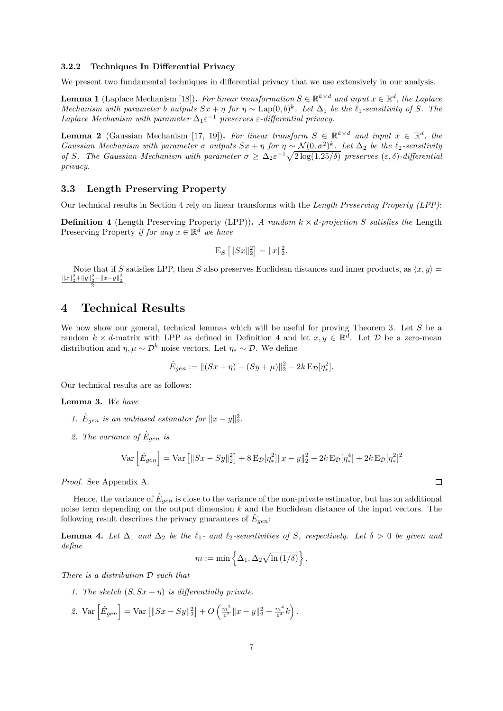#### 3.2.2 Techniques In Differential Privacy

We present two fundamental techniques in differential privacy that we use extensively in our analysis.

**Lemma 1** (Laplace Mechanism [18]). For linear transformation  $S \in \mathbb{R}^{k \times d}$  and input  $x \in \mathbb{R}^d$ , the Laplace Mechanism with parameter b outputs  $Sx + \eta$  for  $\eta \sim \text{Lap}(0, b)^k$ . Let  $\Delta_1$  be the  $\ell_1$ -sensitivity of S. The Laplace Mechanism with parameter  $\Delta_1 \varepsilon^{-1}$  preserves  $\varepsilon$ -differential privacy.

**Lemma 2** (Gaussian Mechanism [17, 19]). For linear transform  $S \in \mathbb{R}^{k \times d}$  and input  $x \in \mathbb{R}^d$ , the Gaussian Mechanism with parameter  $\sigma$  outputs  $Sx + \eta$  for  $\eta \sim \mathcal{N}(0, \sigma^2)^k$ . Let  $\Delta_2$  be the  $\ell_2$ -sensitivity of S. The Gaussian Mechanism with parameter  $\sigma \geq \Delta_2 \varepsilon^{-1} \sqrt{2 \log(1.25/\delta)}$  preserves  $(\varepsilon, \delta)$ -differential privacy.

### 3.3 Length Preserving Property

Our technical results in Section 4 rely on linear transforms with the Length Preserving Property (LPP):

**Definition 4** (Length Preserving Property (LPP)). A random  $k \times d$ -projection S satisfies the Length Preserving Property if for any  $x \in \mathbb{R}^d$  we have

$$
\mathcal{E}_S [||Sx||_2^2] = ||x||_2^2.
$$

Note that if S satisfies LPP, then S also preserves Euclidean distances and inner products, as  $\langle x, y \rangle =$  $\frac{||x||_2^2 + ||y||_2^2 - ||x-y||_2^2}{2}.$ 

# 4 Technical Results

We now show our general, technical lemmas which will be useful for proving Theorem 3. Let S be a random  $k \times d$ -matrix with LPP as defined in Definition 4 and let  $x, y \in \mathbb{R}^d$ . Let  $\mathcal{D}$  be a zero-mean distribution and  $\eta, \mu \sim \mathcal{D}^k$  noise vectors. Let  $\eta_* \sim \mathcal{D}$ . We define

$$
\hat{E}_{gen} := ||(Sx + \eta) - (Sy + \mu)||_2^2 - 2k \mathbb{E}_{\mathcal{D}}[\eta_*^2].
$$

Our technical results are as follows:

Lemma 3. We have

- 1.  $\hat{E}_{gen}$  is an unbiased estimator for  $||x-y||_2^2$ .
- 2. The variance of  $\hat{E}_{gen}$  is

$$
\text{Var}\left[\hat{E}_{gen}\right] = \text{Var}\left[\|Sx - Sy\|_2^2\right] + 8 \text{E}_{\mathcal{D}}[\eta_*^2] \|x - y\|_2^2 + 2k \text{E}_{\mathcal{D}}[\eta_*^4] + 2k \text{E}_{\mathcal{D}}[\eta_*^2]^2
$$

Proof. See Appendix A.

Hence, the variance of  $\hat{E}_{gen}$  is close to the variance of the non-private estimator, but has an additional noise term depending on the output dimension  $k$  and the Euclidean distance of the input vectors. The following result describes the privacy guarantees of  $\hat{E}_{gen}$ :

**Lemma 4.** Let  $\Delta_1$  and  $\Delta_2$  be the  $\ell_1$ - and  $\ell_2$ -sensitivities of S, respectively. Let  $\delta > 0$  be given and define

$$
m := \min \left\{ \Delta_1, \Delta_2 \sqrt{\ln (1/\delta)} \right\}.
$$

There is a distribution D such that

- 1. The sketch  $(S, Sx + \eta)$  is differentially private.
- 2. Var  $\left[\hat{E}_{gen}\right] = \text{Var}\left[\|Sx Sy\|_2^2\right] + O\left(\frac{m^2}{\varepsilon^2} \|x y\|_2^2 + \frac{m^4}{\varepsilon^4} k\right).$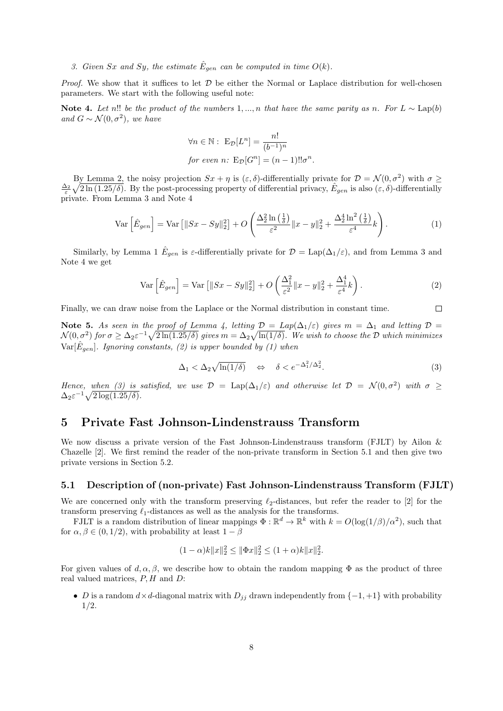3. Given Sx and Sy, the estimate  $\hat{E}_{gen}$  can be computed in time  $O(k)$ .

*Proof.* We show that it suffices to let  $D$  be either the Normal or Laplace distribution for well-chosen parameters. We start with the following useful note:

Note 4. Let n!! be the product of the numbers 1, ..., n that have the same parity as n. For  $L \sim \text{Lap}(b)$ and  $G \sim \mathcal{N}(0, \sigma^2)$ , we have

$$
\forall n \in \mathbb{N}: \mathcal{E}_{\mathcal{D}}[L^n] = \frac{n!}{(b^{-1})^n}
$$
  
for even n: 
$$
\mathcal{E}_{\mathcal{D}}[G^n] = (n-1)!!\sigma^n.
$$

By Lemma 2, the noisy projection  $Sx + \eta$  is  $(\varepsilon, \delta)$ -differentially private for  $\mathcal{D} = \mathcal{N}(0, \sigma^2)$  with  $\sigma \geq$  $\frac{\Delta_2}{\varepsilon}\sqrt{2\ln(1.25/\delta)}$ . By the post-processing property of differential privacy,  $\hat{E}_{gen}$  is also  $(\varepsilon, \delta)$ -differentially private. From Lemma 3 and Note 4

$$
\operatorname{Var}\left[\hat{E}_{gen}\right] = \operatorname{Var}\left[\|Sx - Sy\|_2^2\right] + O\left(\frac{\Delta_2^2 \ln\left(\frac{1}{\delta}\right)}{\varepsilon^2} \|x - y\|_2^2 + \frac{\Delta_2^4 \ln^2\left(\frac{1}{\delta}\right)}{\varepsilon^4} k\right). \tag{1}
$$

Similarly, by Lemma 1  $\hat{E}_{gen}$  is  $\varepsilon$ -differentially private for  $\mathcal{D} = \text{Lap}(\Delta_1/\varepsilon)$ , and from Lemma 3 and Note 4 we get

$$
\operatorname{Var}\left[\hat{E}_{gen}\right] = \operatorname{Var}\left[\|Sx - Sy\|_2^2\right] + O\left(\frac{\Delta_1^2}{\varepsilon^2} \|x - y\|_2^2 + \frac{\Delta_1^4}{\varepsilon^4} k\right). \tag{2}
$$

Finally, we can draw noise from the Laplace or the Normal distribution in constant time.

Note 5. As seen in the proof of Lemma 4, letting  $\mathcal{D} = Lap(\Delta_1/\varepsilon)$  gives  $m = \Delta_1$  and letting  $\mathcal{D} =$  $\mathcal{N}(0,\sigma^2)$  for  $\sigma \geq \Delta_2 \varepsilon^{-1} \sqrt{2 \ln(1.25/\delta)}$  gives  $m=\Delta_2 \sqrt{\ln(1/\delta)}$ . We wish to choose the  $\mathcal D$  which minimizes  $Var[\hat{E}_{gen}]$ . Ignoring constants, (2) is upper bounded by (1) when

$$
\Delta_1 < \Delta_2 \sqrt{\ln(1/\delta)} \quad \Leftrightarrow \quad \delta < e^{-\Delta_1^2/\Delta_2^2}.\tag{3}
$$

 $\Box$ 

Hence, when (3) is satisfied, we use  $\mathcal{D} = \text{Lap}(\Delta_1/\varepsilon)$  and otherwise let  $\mathcal{D} = \mathcal{N}(0, \sigma^2)$  with  $\sigma \geq$  $\Delta_2 \varepsilon^{-1} \sqrt{2 \log(1.25/\delta)}.$ 

## 5 Private Fast Johnson-Lindenstrauss Transform

We now discuss a private version of the Fast Johnson-Lindenstrauss transform (FJLT) by Ailon & Chazelle [2]. We first remind the reader of the non-private transform in Section 5.1 and then give two private versions in Section 5.2.

#### 5.1 Description of (non-private) Fast Johnson-Lindenstrauss Transform (FJLT)

We are concerned only with the transform preserving  $\ell_2$ -distances, but refer the reader to [2] for the transform preserving  $\ell_1$ -distances as well as the analysis for the transforms.

FJLT is a random distribution of linear mappings  $\Phi : \mathbb{R}^d \to \mathbb{R}^k$  with  $k = O(\log(1/\beta)/\alpha^2)$ , such that for  $\alpha, \beta \in (0, 1/2)$ , with probability at least  $1 - \beta$ 

$$
(1 - \alpha)k||x||_2^2 \le ||\Phi x||_2^2 \le (1 + \alpha)k||x||_2^2.
$$

For given values of  $d, \alpha, \beta$ , we describe how to obtain the random mapping  $\Phi$  as the product of three real valued matrices,  $P$ ,  $H$  and  $D$ :

• D is a random  $d \times d$ -diagonal matrix with  $D_{ij}$  drawn independently from  $\{-1, +1\}$  with probability 1/2.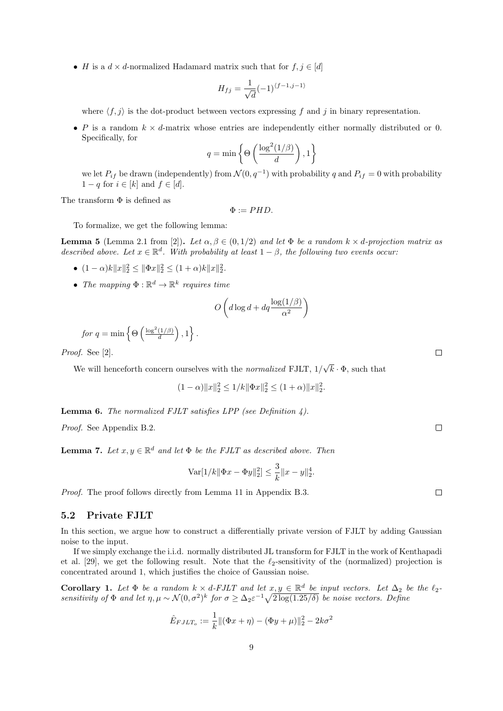• H is a  $d \times d$ -normalized Hadamard matrix such that for  $f, j \in [d]$ 

$$
H_{fj} = \frac{1}{\sqrt{d}}(-1)^{\langle f-1,j-1\rangle}
$$

where  $\langle f, j \rangle$  is the dot-product between vectors expressing f and j in binary representation.

• P is a random  $k \times d$ -matrix whose entries are independently either normally distributed or 0. Specifically, for

$$
q = \min\left\{\Theta\left(\frac{\log^2(1/\beta)}{d}\right), 1\right\}
$$

we let  $P_{if}$  be drawn (independently) from  $\mathcal{N}(0, q^{-1})$  with probability q and  $P_{if} = 0$  with probability  $1-q$  for  $i \in [k]$  and  $f \in [d]$ .

The transform  $\Phi$  is defined as

 $\Phi := PHD.$ 

To formalize, we get the following lemma:

**Lemma 5** (Lemma 2.1 from [2]). Let  $\alpha, \beta \in (0, 1/2)$  and let  $\Phi$  be a random  $k \times d$ -projection matrix as described above. Let  $x \in \mathbb{R}^d$ . With probability at least  $1 - \beta$ , the following two events occur:

- $(1 \alpha)k||x||_2^2 \le ||\Phi x||_2^2 \le (1 + \alpha)k||x||_2^2$ .
- The mapping  $\Phi : \mathbb{R}^d \to \mathbb{R}^k$  requires time

$$
O\left(d\log d + dq\frac{\log(1/\beta)}{\alpha^2}\right)
$$

for 
$$
q = \min \left\{ \Theta \left( \frac{\log^2(1/\beta)}{d} \right), 1 \right\}.
$$

Proof. See [2].

We will henceforth concern ourselves with the *normalized* FJLT,  $1/$ √  $k \cdot \Phi$ , such that

$$
(1 - \alpha) \|x\|_2^2 \le 1/k \|\Phi x\|_2^2 \le (1 + \alpha) \|x\|_2^2.
$$

Lemma 6. The normalized FJLT satisfies LPP (see Definition 4).

Proof. See Appendix B.2.

**Lemma 7.** Let  $x, y \in \mathbb{R}^d$  and let  $\Phi$  be the FJLT as described above. Then

$$
\text{Var}[1/k||\Phi x - \Phi y||_2^2] \le \frac{3}{k} ||x - y||_2^4.
$$

Proof. The proof follows directly from Lemma 11 in Appendix B.3.

### 5.2 Private FJLT

In this section, we argue how to construct a differentially private version of FJLT by adding Gaussian noise to the input.

If we simply exchange the i.i.d. normally distributed JL transform for FJLT in the work of Kenthapadi et al. [29], we get the following result. Note that the  $\ell_2$ -sensitivity of the (normalized) projection is concentrated around 1, which justifies the choice of Gaussian noise.

**Corollary 1.** Let  $\Phi$  be a random  $k \times d$ -FJLT and let  $x, y \in \mathbb{R}^d$  be input vectors. Let  $\Delta_2$  be the  $\ell_2$ sensitivity of  $\Phi$  and let  $\eta, \mu \sim \mathcal{N}(0, \sigma^2)^k$  for  $\sigma \geq \Delta_2 \varepsilon^{-1} \sqrt{2 \log(1.25/\delta)}$  be noise vectors. Define

$$
\hat{E}_{FJLT_o} := \frac{1}{k} \| (\Phi x + \eta) - (\Phi y + \mu) \|_2^2 - 2k\sigma^2
$$

 $\Box$ 

 $\Box$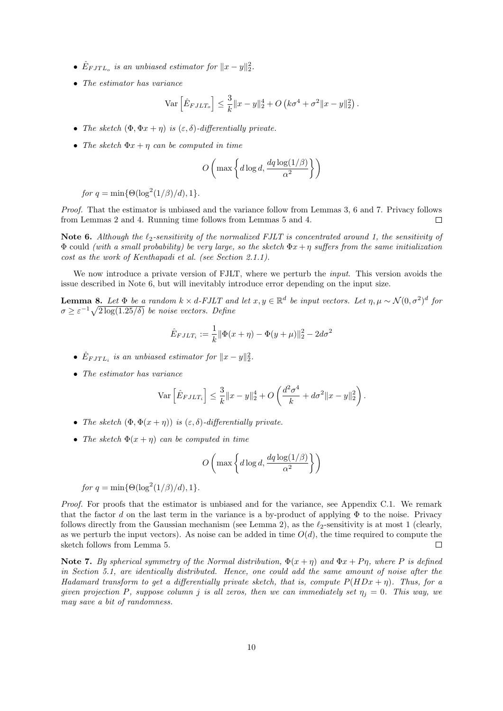- $\hat{E}_{FJTL_o}$  is an unbiased estimator for  $||x-y||_2^2$ .
- The estimator has variance

$$
\text{Var}\left[\hat{E}_{FJLT_o}\right] \leq \frac{3}{k} \|x - y\|_2^4 + O\left(k\sigma^4 + \sigma^2 \|x - y\|_2^2\right).
$$

- The sketch  $(\Phi, \Phi x + \eta)$  is  $(\varepsilon, \delta)$ -differentially private.
- The sketch  $\Phi x + \eta$  can be computed in time

$$
O\left(\max\left\{d\log d, \frac{dq\log(1/\beta)}{\alpha^2}\right\}\right)
$$

for  $q = \min{\Theta(\log^2(1/\beta)/d), 1}.$ 

Proof. That the estimator is unbiased and the variance follow from Lemmas 3, 6 and 7. Privacy follows from Lemmas 2 and 4. Running time follows from Lemmas 5 and 4.  $\Box$ 

Note 6. Although the  $\ell_2$ -sensitivity of the normalized FJLT is concentrated around 1, the sensitivity of  $\Phi$  could (with a small probability) be very large, so the sketch  $\Phi x + \eta$  suffers from the same initialization cost as the work of Kenthapadi et al. (see Section 2.1.1).

We now introduce a private version of FJLT, where we perturb the *input*. This version avoids the issue described in Note 6, but will inevitably introduce error depending on the input size.

**Lemma 8.** Let  $\Phi$  be a random  $k \times d$ -FJLT and let  $x, y \in \mathbb{R}^d$  be input vectors. Let  $\eta, \mu \sim \mathcal{N}(0, \sigma^2)^d$  for  $\sigma \geq \varepsilon^{-1} \sqrt{2 \log(1.25/\delta)}$  be noise vectors. Define

$$
\hat{E}_{FJLT_i} := \frac{1}{k} \|\Phi(x+\eta) - \Phi(y+\mu)\|_2^2 - 2d\sigma^2
$$

- $\hat{E}_{FJTL_i}$  is an unbiased estimator for  $||x-y||_2^2$ .
- The estimator has variance

$$
\text{Var}\left[\hat{E}_{FJLT_i}\right] \le \frac{3}{k} \|x - y\|_2^4 + O\left(\frac{d^2\sigma^4}{k} + d\sigma^2 \|x - y\|_2^2\right).
$$

- The sketch  $(\Phi, \Phi(x + \eta))$  is  $(\varepsilon, \delta)$ -differentially private.
- The sketch  $\Phi(x+\eta)$  can be computed in time

$$
O\left(\max\left\{d\log d,\frac{dq\log(1/\beta)}{\alpha^2}\right\}\right)
$$

$$
for q = \min\{\Theta(\log^2(1/\beta)/d), 1\}.
$$

Proof. For proofs that the estimator is unbiased and for the variance, see Appendix C.1. We remark that the factor d on the last term in the variance is a by-product of applying  $\Phi$  to the noise. Privacy follows directly from the Gaussian mechanism (see Lemma 2), as the  $\ell_2$ -sensitivity is at most 1 (clearly, as we perturb the input vectors). As noise can be added in time  $O(d)$ , the time required to compute the sketch follows from Lemma 5.  $\Box$ 

Note 7. By spherical symmetry of the Normal distribution,  $\Phi(x + \eta)$  and  $\Phi x + P\eta$ , where P is defined in Section 5.1, are identically distributed. Hence, one could add the same amount of noise after the Hadamard transform to get a differentially private sketch, that is, compute  $P(HDx + \eta)$ . Thus, for a given projection P, suppose column j is all zeros, then we can immediately set  $\eta_i = 0$ . This way, we may save a bit of randomness.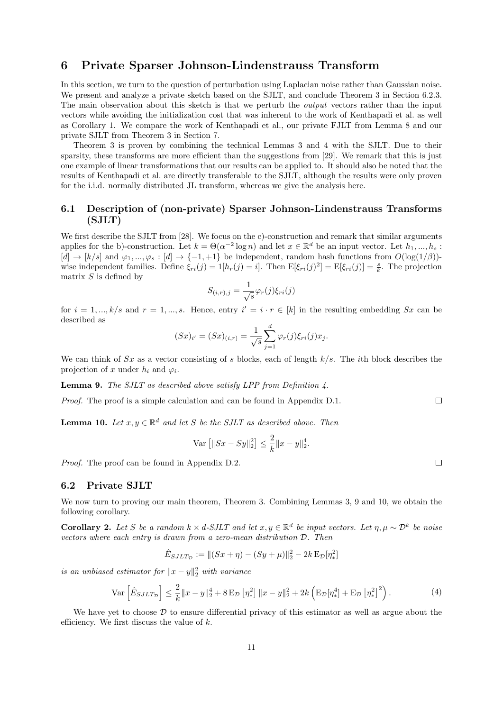# 6 Private Sparser Johnson-Lindenstrauss Transform

In this section, we turn to the question of perturbation using Laplacian noise rather than Gaussian noise. We present and analyze a private sketch based on the SJLT, and conclude Theorem 3 in Section 6.2.3. The main observation about this sketch is that we perturb the *output* vectors rather than the input vectors while avoiding the initialization cost that was inherent to the work of Kenthapadi et al. as well as Corollary 1. We compare the work of Kenthapadi et al., our private FJLT from Lemma 8 and our private SJLT from Theorem 3 in Section 7.

Theorem 3 is proven by combining the technical Lemmas 3 and 4 with the SJLT. Due to their sparsity, these transforms are more efficient than the suggestions from [29]. We remark that this is just one example of linear transformations that our results can be applied to. It should also be noted that the results of Kenthapadi et al. are directly transferable to the SJLT, although the results were only proven for the i.i.d. normally distributed JL transform, whereas we give the analysis here.

## 6.1 Description of (non-private) Sparser Johnson-Lindenstrauss Transforms (SJLT)

We first describe the SJLT from [28]. We focus on the c)-construction and remark that similar arguments applies for the b)-construction. Let  $k = \Theta(\alpha^{-2} \log n)$  and let  $x \in \mathbb{R}^d$  be an input vector. Let  $h_1, ..., h_s$ :  $[d] \to [k/s]$  and  $\varphi_1, ..., \varphi_s : [d] \to \{-1, +1\}$  be independent, random hash functions from  $O(\log(1/\beta))$ wise independent families. Define  $\xi_{ri}(j) = 1[h_r(j) = i]$ . Then  $E[\xi_{ri}(j)^2] = E[\xi_{ri}(j)] = \frac{s}{k}$ . The projection matrix  $S$  is defined by

$$
S_{(i,r),j} = \frac{1}{\sqrt{s}} \varphi_r(j) \xi_{ri}(j)
$$

for  $i = 1, ..., k/s$  and  $r = 1, ..., s$ . Hence, entry  $i' = i \cdot r \in [k]$  in the resulting embedding Sx can be described as

$$
(Sx)_{i'} = (Sx)_{(i,r)} = \frac{1}{\sqrt{s}} \sum_{j=1}^{d} \varphi_r(j) \xi_{ri}(j) x_j.
$$

We can think of  $Sx$  as a vector consisting of s blocks, each of length  $k/s$ . The *i*th block describes the projection of x under  $h_i$  and  $\varphi_i$ .

**Lemma 9.** The SJLT as described above satisfy LPP from Definition 4.

Proof. The proof is a simple calculation and can be found in Appendix D.1.  $\Box$ 

**Lemma 10.** Let  $x, y \in \mathbb{R}^d$  and let S be the SJLT as described above. Then

$$
\text{Var}\left[\|Sx - Sy\|_2^2\right] \le \frac{2}{k} \|x - y\|_2^4.
$$

Proof. The proof can be found in Appendix D.2.

#### 6.2 Private SJLT

We now turn to proving our main theorem, Theorem 3. Combining Lemmas 3, 9 and 10, we obtain the following corollary.

**Corollary 2.** Let S be a random  $k \times d$ -SJLT and let  $x, y \in \mathbb{R}^d$  be input vectors. Let  $\eta, \mu \sim \mathcal{D}^k$  be noise vectors where each entry is drawn from a zero-mean distribution D. Then

$$
\hat{E}_{SJLT_{\mathcal{D}}} := ||(Sx + \eta) - (Sy + \mu)||_2^2 - 2k \mathbb{E}_{\mathcal{D}}[\eta_*^2]
$$

is an unbiased estimator for  $||x-y||_2^2$  with variance

$$
\text{Var}\left[\hat{E}_{SJLT_{\mathcal{D}}}\right] \le \frac{2}{k} \|x - y\|_2^4 + 8 \,\text{E}_{\mathcal{D}}\left[\eta_*^2\right] \|x - y\|_2^2 + 2k \left(\text{E}_{\mathcal{D}}[\eta_*^4] + \text{E}_{\mathcal{D}}\left[\eta_*^2\right]^2\right). \tag{4}
$$

We have yet to choose  $D$  to ensure differential privacy of this estimator as well as argue about the efficiency. We first discuss the value of  $k$ .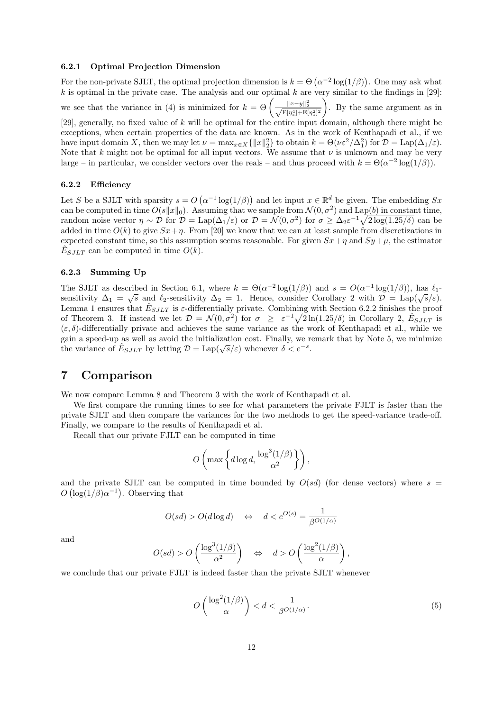#### 6.2.1 Optimal Projection Dimension

For the non-private SJLT, the optimal projection dimension is  $k = \Theta\left(\alpha^{-2}\log(1/\beta)\right)$ . One may ask what k is optimal in the private case. The analysis and our optimal k are very similar to the findings in [29]: we see that the variance in (4) is minimized for  $k = \Theta\left(\frac{\|x-y\|_2^2}{\sqrt{\mathbb{E}[\eta_*^2] + \mathbb{E}[\eta_*^2]^2}}\right)$  . By the same argument as in [29], generally, no fixed value of k will be optimal for the entire input domain, although there might be exceptions, when certain properties of the data are known. As in the work of Kenthapadi et al., if we have input domain X, then we may let  $\nu = \max_{x \in X} {\{|x\|_2^2\}}$  to obtain  $k = \Theta(\nu \varepsilon^2/\Delta_1^2)$  for  $\mathcal{D} = \text{Lap}(\Delta_1/\varepsilon)$ . Note that k might not be optimal for all input vectors. We assume that  $\nu$  is unknown and may be very large – in particular, we consider vectors over the reals – and thus proceed with  $k = \Theta(\alpha^{-2} \log(1/\beta))$ .

#### 6.2.2 Efficiency

Let S be a SJLT with sparsity  $s = O(\alpha^{-1} \log(1/\beta))$  and let input  $x \in \mathbb{R}^d$  be given. The embedding Sx can be computed in time  $O(s||x||_0)$ . Assuming that we sample from  $\mathcal{N}(0, \sigma^2)$  and Lap(b) in constant time, random noise vector  $\eta \sim \mathcal{D}$  for  $\mathcal{D} = \text{Lap}(\Delta_1/\varepsilon)$  or  $\mathcal{D} = \mathcal{N}(0, \sigma^2)$  for  $\sigma \geq \Delta_2 \varepsilon^{-1} \sqrt{2 \log(1.25/\delta)}$  can be added in time  $O(k)$  to give  $Sx+n$ . From [20] we know that we can at least sample from discretizations in expected constant time, so this assumption seems reasonable. For given  $Sx+\eta$  and  $Sy+\mu$ , the estimator  $\hat{E}_{SJLT}$  can be computed in time  $O(k)$ .

#### 6.2.3 Summing Up

The SJLT as described in Section 6.1, where  $k = \Theta(\alpha^{-2} \log(1/\beta))$  and  $s = O(\alpha^{-1} \log(1/\beta))$ , has  $\ell_1$ -The SJLT as described in Section 0.1, where  $\kappa = \Theta(\alpha - \log(1/\beta))$  and  $s = \Theta(\alpha - \log(1/\beta))$ , has  $t_1$ -<br>sensitivity  $\Delta_1 = \sqrt{s}$  and  $\ell_2$ -sensitivity  $\Delta_2 = 1$ . Hence, consider Corollary 2 with  $\mathcal{D} = \text{Lap}(\sqrt{s}/\varepsilon)$ . Lemma 1 ensures that  $\hat{E}_{SJLT}$  is  $\varepsilon$ -differentially private. Combining with Section 6.2.2 finishes the proof of Theorem 3. If instead we let  $\mathcal{D} = \mathcal{N}(0, \sigma^2)$  for  $\sigma \geq \varepsilon^{-1} \sqrt{2 \ln(1.25/\delta)}$  in Corollary 2,  $\hat{E}_{SJLT}$  is  $(\varepsilon, \delta)$ -differentially private and achieves the same variance as the work of Kenthapadi et al., while we gain a speed-up as well as avoid the initialization cost. Finally, we remark that by Note 5, we minimize gain a speed-up as wen as avoid the initialization cost. Finally, we if the variance of  $\hat{E}_{SJLT}$  by letting  $\mathcal{D} = \text{Lap}(\sqrt{s}/\varepsilon)$  whenever  $\delta < e^{-s}$ .

# 7 Comparison

We now compare Lemma 8 and Theorem 3 with the work of Kenthapadi et al.

We first compare the running times to see for what parameters the private FJLT is faster than the private SJLT and then compare the variances for the two methods to get the speed-variance trade-off. Finally, we compare to the results of Kenthapadi et al.

Recall that our private FJLT can be computed in time

$$
O\left(\max\left\{d\log d, \frac{\log^3(1/\beta)}{\alpha^2}\right\}\right),\right
$$

and the private SJLT can be computed in time bounded by  $O(sd)$  (for dense vectors) where  $s =$  $O(\log(1/\beta)\alpha^{-1})$ . Observing that

$$
O(s d) > O(d \log d) \quad \Leftrightarrow \quad d < e^{O(s)} = \frac{1}{\beta^{O(1/\alpha)}}
$$

and

$$
O(s d) > O\left(\frac{\log^3(1/\beta)}{\alpha^2}\right) \quad \Leftrightarrow \quad d > O\left(\frac{\log^2(1/\beta)}{\alpha}\right),
$$

we conclude that our private FJLT is indeed faster than the private SJLT whenever

$$
O\left(\frac{\log^2(1/\beta)}{\alpha}\right) < d < \frac{1}{\beta^{O(1/\alpha)}}.\tag{5}
$$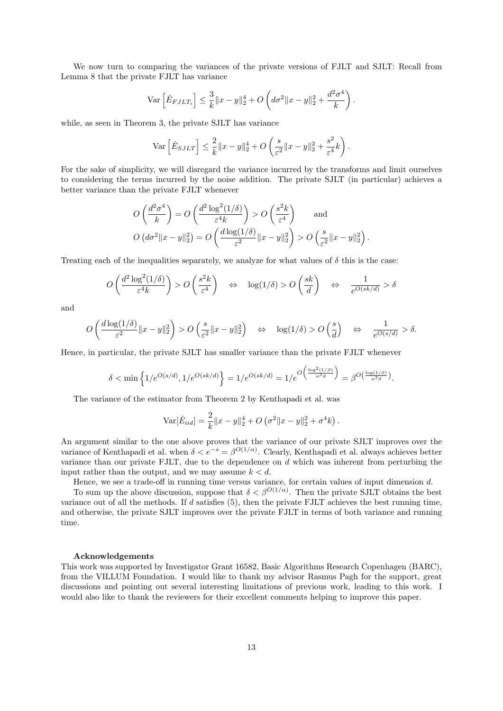We now turn to comparing the variances of the private versions of FJLT and SJLT: Recall from Lemma 8 that the private FJLT has variance

$$
\text{Var}\left[\hat{E}_{FJLT_{i}}\right] \leq \frac{3}{k} \|x - y\|_{2}^{4} + O\left(d\sigma^{2} \|x - y\|_{2}^{2} + \frac{d^{2}\sigma^{4}}{k}\right).
$$

while, as seen in Theorem 3, the private SJLT has variance

$$
\text{Var}\left[\hat{E}_{SJLT}\right] \le \frac{2}{k} \|x - y\|_2^4 + O\left(\frac{s}{\varepsilon^2} \|x - y\|_2^2 + \frac{s^2}{\varepsilon^4} k\right).
$$

For the sake of simplicity, we will disregard the variance incurred by the transforms and limit ourselves to considering the terms incurred by the noise addition. The private SJLT (in particular) achieves a better variance than the private FJLT whenever

$$
O\left(\frac{d^2\sigma^4}{k}\right) = O\left(\frac{d^2\log^2(1/\delta)}{\varepsilon^4 k}\right) > O\left(\frac{s^2 k}{\varepsilon^4}\right) \quad \text{and}
$$

$$
O\left(d\sigma^2 \|x - y\|_2^2\right) = O\left(\frac{d\log(1/\delta)}{\varepsilon^2} \|x - y\|_2^2\right) > O\left(\frac{s}{\varepsilon^2} \|x - y\|_2^2\right).
$$

Treating each of the inequalities separately, we analyze for what values of  $\delta$  this is the case:

$$
O\left(\frac{d^2\log^2(1/\delta)}{\varepsilon^4 k}\right) > O\left(\frac{s^2 k}{\varepsilon^4}\right) \quad \Leftrightarrow \quad \log(1/\delta) > O\left(\frac{sk}{d}\right) \quad \Leftrightarrow \quad \frac{1}{e^{O(sk/d)}} > \delta
$$

and

$$
O\left(\frac{d\log(1/\delta)}{\varepsilon^2}||x-y||_2^2\right) > O\left(\frac{s}{\varepsilon^2}||x-y||_2^2\right) \quad \Leftrightarrow \quad \log(1/\delta) > O\left(\frac{s}{d}\right) \quad \Leftrightarrow \quad \frac{1}{e^{O(s/d)}} > \delta.
$$

Hence, in particular, the private SJLT has smaller variance than the private FJLT whenever

$$
\delta < \min\left\{1/e^{O(s/d)}, 1/e^{O(sk/d)}\right\} = 1/e^{O(sk/d)} = 1/e^{O\left(\frac{\log^2(1/\beta)}{\alpha^3 d}\right)} = \beta^{O\left(\frac{\log(1/\beta)}{\alpha^3 d}\right)}.
$$

The variance of the estimator from Theorem 2 by Kenthapadi et al. was

$$
\text{Var}[\hat{E}_{iid}] = \frac{2}{k} ||x - y||_2^4 + O\left(\sigma^2 ||x - y||_2^2 + \sigma^4 k\right).
$$

An argument similar to the one above proves that the variance of our private SJLT improves over the variance of Kenthapadi et al. when  $\delta < e^{-s} = \beta^{O(1/\alpha)}$ . Clearly, Kenthapadi et al. always achieves better variance than our private FJLT, due to the dependence on  $d$  which was inherent from perturbing the input rather than the output, and we may assume  $k < d$ .

Hence, we see a trade-off in running time versus variance, for certain values of input dimension d.

To sum up the above discussion, suppose that  $\delta < \beta^{O(1/\alpha)}$ . Then the private SJLT obtains the best variance out of all the methods. If  $d$  satisfies (5), then the private FJLT achieves the best running time, and otherwise, the private SJLT improves over the private FJLT in terms of both variance and running time.

#### Acknowledgements

This work was supported by Investigator Grant 16582, Basic Algorithms Research Copenhagen (BARC), from the VILLUM Foundation. I would like to thank my advisor Rasmus Pagh for the support, great discussions and pointing out several interesting limitations of previous work, leading to this work. I would also like to thank the reviewers for their excellent comments helping to improve this paper.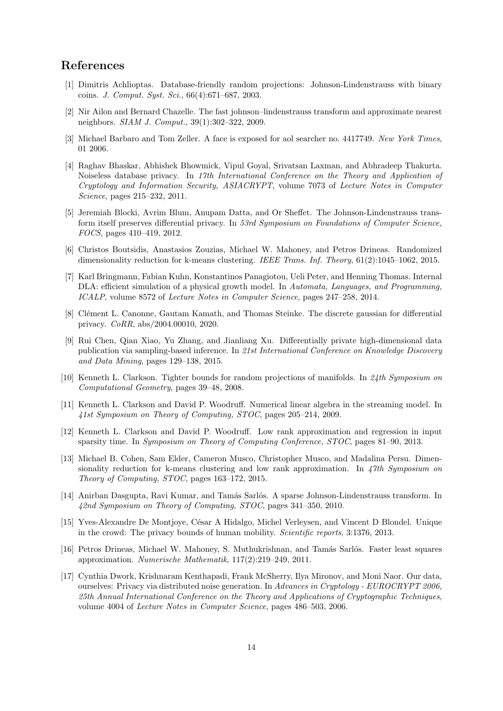# References

- [1] Dimitris Achlioptas. Database-friendly random projections: Johnson-Lindenstrauss with binary coins. J. Comput. Syst. Sci., 66(4):671–687, 2003.
- [2] Nir Ailon and Bernard Chazelle. The fast johnson–lindenstrauss transform and approximate nearest neighbors. SIAM J. Comput., 39(1):302–322, 2009.
- [3] Michael Barbaro and Tom Zeller. A face is exposed for aol searcher no. 4417749. New York Times, 01 2006.
- [4] Raghav Bhaskar, Abhishek Bhowmick, Vipul Goyal, Srivatsan Laxman, and Abhradeep Thakurta. Noiseless database privacy. In 17th International Conference on the Theory and Application of Cryptology and Information Security, ASIACRYPT, volume 7073 of Lecture Notes in Computer Science, pages 215–232, 2011.
- [5] Jeremiah Blocki, Avrim Blum, Anupam Datta, and Or Sheffet. The Johnson-Lindenstrauss transform itself preserves differential privacy. In 53rd Symposium on Foundations of Computer Science, FOCS, pages 410–419, 2012.
- [6] Christos Boutsidis, Anastasios Zouzias, Michael W. Mahoney, and Petros Drineas. Randomized dimensionality reduction for k-means clustering. IEEE Trans. Inf. Theory, 61(2):1045–1062, 2015.
- [7] Karl Bringmann, Fabian Kuhn, Konstantinos Panagiotou, Ueli Peter, and Henning Thomas. Internal DLA: efficient simulation of a physical growth model. In Automata, Languages, and Programming, ICALP, volume 8572 of Lecture Notes in Computer Science, pages 247–258, 2014.
- [8] Clément L. Canonne, Gautam Kamath, and Thomas Steinke. The discrete gaussian for differential privacy. CoRR, abs/2004.00010, 2020.
- [9] Rui Chen, Qian Xiao, Yu Zhang, and Jianliang Xu. Differentially private high-dimensional data publication via sampling-based inference. In 21st International Conference on Knowledge Discovery and Data Mining, pages 129–138, 2015.
- [10] Kenneth L. Clarkson. Tighter bounds for random projections of manifolds. In 24th Symposium on Computational Geometry, pages 39–48, 2008.
- [11] Kenneth L. Clarkson and David P. Woodruff. Numerical linear algebra in the streaming model. In 41st Symposium on Theory of Computing, STOC, pages 205–214, 2009.
- [12] Kenneth L. Clarkson and David P. Woodruff. Low rank approximation and regression in input sparsity time. In Symposium on Theory of Computing Conference, STOC, pages 81–90, 2013.
- [13] Michael B. Cohen, Sam Elder, Cameron Musco, Christopher Musco, and Madalina Persu. Dimensionality reduction for k-means clustering and low rank approximation. In 47th Symposium on Theory of Computing, STOC, pages 163–172, 2015.
- [14] Anirban Dasgupta, Ravi Kumar, and Tamás Sarlós. A sparse Johnson-Lindenstrauss transform. In 42nd Symposium on Theory of Computing, STOC, pages 341–350, 2010.
- [15] Yves-Alexandre De Montjoye, César A Hidalgo, Michel Verleysen, and Vincent D Blondel. Unique in the crowd: The privacy bounds of human mobility. Scientific reports, 3:1376, 2013.
- [16] Petros Drineas, Michael W. Mahoney, S. Muthukrishnan, and Tamás Sarlós. Faster least squares approximation. Numerische Mathematik, 117(2):219–249, 2011.
- [17] Cynthia Dwork, Krishnaram Kenthapadi, Frank McSherry, Ilya Mironov, and Moni Naor. Our data, ourselves: Privacy via distributed noise generation. In Advances in Cryptology - EUROCRYPT 2006, 25th Annual International Conference on the Theory and Applications of Cryptographic Techniques, volume 4004 of Lecture Notes in Computer Science, pages 486–503, 2006.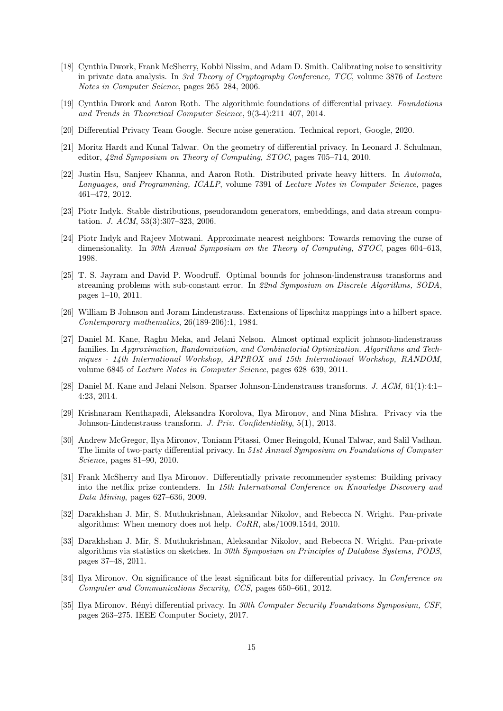- [18] Cynthia Dwork, Frank McSherry, Kobbi Nissim, and Adam D. Smith. Calibrating noise to sensitivity in private data analysis. In 3rd Theory of Cryptography Conference, TCC, volume 3876 of Lecture Notes in Computer Science, pages 265–284, 2006.
- [19] Cynthia Dwork and Aaron Roth. The algorithmic foundations of differential privacy. Foundations and Trends in Theoretical Computer Science, 9(3-4):211–407, 2014.
- [20] Differential Privacy Team Google. Secure noise generation. Technical report, Google, 2020.
- [21] Moritz Hardt and Kunal Talwar. On the geometry of differential privacy. In Leonard J. Schulman, editor, 42nd Symposium on Theory of Computing, STOC, pages 705–714, 2010.
- [22] Justin Hsu, Sanjeev Khanna, and Aaron Roth. Distributed private heavy hitters. In Automata, Languages, and Programming, ICALP, volume 7391 of Lecture Notes in Computer Science, pages 461–472, 2012.
- [23] Piotr Indyk. Stable distributions, pseudorandom generators, embeddings, and data stream computation. J. ACM, 53(3):307–323, 2006.
- [24] Piotr Indyk and Rajeev Motwani. Approximate nearest neighbors: Towards removing the curse of dimensionality. In 30th Annual Symposium on the Theory of Computing, STOC, pages 604–613, 1998.
- [25] T. S. Jayram and David P. Woodruff. Optimal bounds for johnson-lindenstrauss transforms and streaming problems with sub-constant error. In 22nd Symposium on Discrete Algorithms, SODA, pages 1–10, 2011.
- [26] William B Johnson and Joram Lindenstrauss. Extensions of lipschitz mappings into a hilbert space. Contemporary mathematics, 26(189-206):1, 1984.
- [27] Daniel M. Kane, Raghu Meka, and Jelani Nelson. Almost optimal explicit johnson-lindenstrauss families. In Approximation, Randomization, and Combinatorial Optimization. Algorithms and Techniques - 14th International Workshop, APPROX and 15th International Workshop, RANDOM, volume 6845 of Lecture Notes in Computer Science, pages 628–639, 2011.
- [28] Daniel M. Kane and Jelani Nelson. Sparser Johnson-Lindenstrauss transforms. J. ACM, 61(1):4:1– 4:23, 2014.
- [29] Krishnaram Kenthapadi, Aleksandra Korolova, Ilya Mironov, and Nina Mishra. Privacy via the Johnson-Lindenstrauss transform. J. Priv. Confidentiality, 5(1), 2013.
- [30] Andrew McGregor, Ilya Mironov, Toniann Pitassi, Omer Reingold, Kunal Talwar, and Salil Vadhan. The limits of two-party differential privacy. In 51st Annual Symposium on Foundations of Computer Science, pages 81–90, 2010.
- [31] Frank McSherry and Ilya Mironov. Differentially private recommender systems: Building privacy into the netflix prize contenders. In 15th International Conference on Knowledge Discovery and Data Mining, pages 627–636, 2009.
- [32] Darakhshan J. Mir, S. Muthukrishnan, Aleksandar Nikolov, and Rebecca N. Wright. Pan-private algorithms: When memory does not help. CoRR, abs/1009.1544, 2010.
- [33] Darakhshan J. Mir, S. Muthukrishnan, Aleksandar Nikolov, and Rebecca N. Wright. Pan-private algorithms via statistics on sketches. In 30th Symposium on Principles of Database Systems, PODS, pages 37–48, 2011.
- [34] Ilya Mironov. On significance of the least significant bits for differential privacy. In *Conference on* Computer and Communications Security, CCS, pages 650–661, 2012.
- [35] Ilya Mironov. Rényi differential privacy. In 30th Computer Security Foundations Symposium, CSF, pages 263–275. IEEE Computer Society, 2017.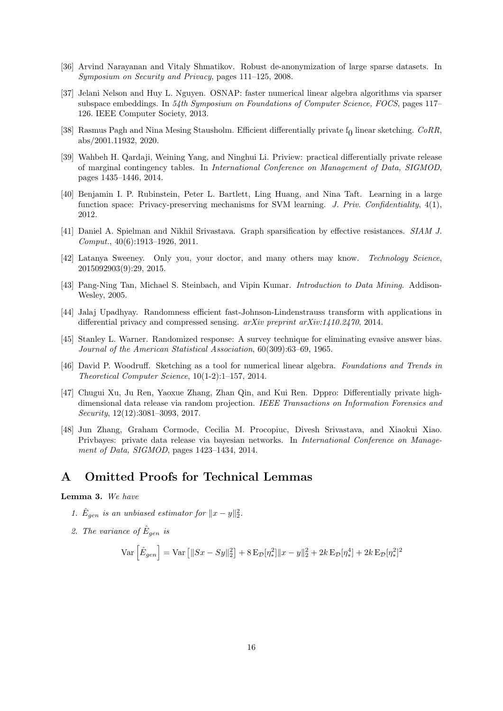- [36] Arvind Narayanan and Vitaly Shmatikov. Robust de-anonymization of large sparse datasets. In Symposium on Security and Privacy, pages 111–125, 2008.
- [37] Jelani Nelson and Huy L. Nguyen. OSNAP: faster numerical linear algebra algorithms via sparser subspace embeddings. In 54th Symposium on Foundations of Computer Science, FOCS, pages 117– 126. IEEE Computer Society, 2013.
- [38] Rasmus Pagh and Nina Mesing Stausholm. Efficient differentially private  $f_0$  linear sketching.  $CoRR$ , abs/2001.11932, 2020.
- [39] Wahbeh H. Qardaji, Weining Yang, and Ninghui Li. Priview: practical differentially private release of marginal contingency tables. In International Conference on Management of Data, SIGMOD, pages 1435–1446, 2014.
- [40] Benjamin I. P. Rubinstein, Peter L. Bartlett, Ling Huang, and Nina Taft. Learning in a large function space: Privacy-preserving mechanisms for SVM learning. J. Priv. Confidentiality,  $4(1)$ , 2012.
- [41] Daniel A. Spielman and Nikhil Srivastava. Graph sparsification by effective resistances. SIAM J.  $Comput., 40(6):1913-1926, 2011.$
- [42] Latanya Sweeney. Only you, your doctor, and many others may know. Technology Science, 2015092903(9):29, 2015.
- [43] Pang-Ning Tan, Michael S. Steinbach, and Vipin Kumar. Introduction to Data Mining. Addison-Wesley, 2005.
- [44] Jalaj Upadhyay. Randomness efficient fast-Johnson-Lindenstrauss transform with applications in differential privacy and compressed sensing.  $arXiv$  preprint  $arXiv:1410.2470.2014$ .
- [45] Stanley L. Warner. Randomized response: A survey technique for eliminating evasive answer bias. Journal of the American Statistical Association, 60(309):63–69, 1965.
- [46] David P. Woodruff. Sketching as a tool for numerical linear algebra. Foundations and Trends in Theoretical Computer Science, 10(1-2):1–157, 2014.
- [47] Chugui Xu, Ju Ren, Yaoxue Zhang, Zhan Qin, and Kui Ren. Dppro: Differentially private highdimensional data release via random projection. IEEE Transactions on Information Forensics and Security, 12(12):3081–3093, 2017.
- [48] Jun Zhang, Graham Cormode, Cecilia M. Procopiuc, Divesh Srivastava, and Xiaokui Xiao. Privbayes: private data release via bayesian networks. In International Conference on Management of Data, SIGMOD, pages 1423–1434, 2014.

# A Omitted Proofs for Technical Lemmas

### Lemma 3. We have

- 1.  $\hat{E}_{gen}$  is an unbiased estimator for  $||x-y||_2^2$ .
- 2. The variance of  $\hat{E}_{gen}$  is

$$
\text{Var}\left[\hat{E}_{gen}\right] = \text{Var}\left[\|Sx - Sy\|_2^2\right] + 8\text{E}_{\mathcal{D}}[\eta_*^2] \|x - y\|_2^2 + 2k \text{E}_{\mathcal{D}}[\eta_*^4] + 2k \text{E}_{\mathcal{D}}[\eta_*^2]^2
$$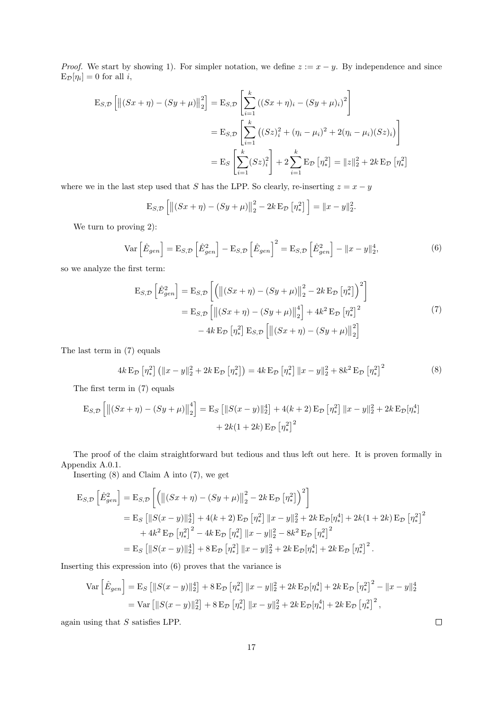*Proof.* We start by showing 1). For simpler notation, we define  $z := x - y$ . By independence and since  $E_{\mathcal{D}}[\eta_i] = 0$  for all *i*,

$$
E_{S,D}\left[\left\|(Sx+\eta) - (Sy+\mu)\right\|_{2}^{2}\right] = E_{S,D}\left[\sum_{i=1}^{k} \left((Sx+\eta)_{i} - (Sy+\mu)_{i}\right)^{2}\right]
$$
  

$$
= E_{S,D}\left[\sum_{i=1}^{k} \left((Sz)_{i}^{2} + (\eta_{i} - \mu_{i})^{2} + 2(\eta_{i} - \mu_{i})(Sz)_{i}\right)\right]
$$
  

$$
= E_{S}\left[\sum_{i=1}^{k} (Sz)_{i}^{2}\right] + 2\sum_{i=1}^{k} E_{D}\left[\eta_{*}^{2}\right] = \|z\|_{2}^{2} + 2k E_{D}\left[\eta_{*}^{2}\right]
$$

where we in the last step used that S has the LPP. So clearly, re-inserting  $z = x - y$ 

$$
E_{S,D}\left[\left\|(Sx+\eta) - (Sy+\mu)\right\|_{2}^{2} - 2k E_{D}\left[\eta_{*}^{2}\right]\right] = \|x-y\|_{2}^{2}.
$$

We turn to proving 2):

$$
\text{Var}\left[\hat{E}_{gen}\right] = \text{E}_{S,\mathcal{D}}\left[\hat{E}_{gen}^2\right] - \text{E}_{S,\mathcal{D}}\left[\hat{E}_{gen}\right]^2 = \text{E}_{S,\mathcal{D}}\left[\hat{E}_{gen}^2\right] - \|x - y\|_2^4,\tag{6}
$$

so we analyze the first term:

$$
\mathbf{E}_{S,\mathcal{D}}\left[\hat{E}_{gen}^{2}\right] = \mathbf{E}_{S,\mathcal{D}}\left[\left(\left\|\left(Sx+\eta\right)-\left(Sy+\mu\right)\right\|_{2}^{2} - 2k\,\mathbf{E}_{\mathcal{D}}\left[\eta_{*}^{2}\right]\right)^{2}\right] \n= \mathbf{E}_{S,\mathcal{D}}\left[\left\|\left(Sx+\eta\right)-\left(Sy+\mu\right)\right\|_{2}^{4}\right] + 4k^{2}\,\mathbf{E}_{\mathcal{D}}\left[\eta_{*}^{2}\right]^{2} \n- 4k\,\mathbf{E}_{\mathcal{D}}\left[\eta_{*}^{2}\right]\mathbf{E}_{S,\mathcal{D}}\left[\left\|\left(Sx+\eta\right)-\left(Sy+\mu\right)\right\|_{2}^{2}\right]
$$
\n(7)

The last term in (7) equals

$$
4k \mathbf{E}_{\mathcal{D}} [\eta_*^2] (||x - y||_2^2 + 2k \mathbf{E}_{\mathcal{D}} [\eta_*^2]) = 4k \mathbf{E}_{\mathcal{D}} [\eta_*^2] ||x - y||_2^2 + 8k^2 \mathbf{E}_{\mathcal{D}} [\eta_*^2]^2
$$
 (8)

The first term in (7) equals

$$
E_{S,D}\left[\left\|(Sx+\eta) - (Sy+\mu)\right\|_{2}^{4}\right] = E_{S}\left[\left\|S(x-y)\right\|_{2}^{4}\right] + 4(k+2) E_{D}\left[\eta_{*}^{2}\right] \|x-y\|_{2}^{2} + 2k E_{D}[\eta_{*}^{4}] + 2k(1+2k) E_{D}\left[\eta_{*}^{2}\right]^{2}
$$

The proof of the claim straightforward but tedious and thus left out here. It is proven formally in Appendix A.0.1.

Inserting (8) and Claim A into (7), we get

$$
\begin{split} \mathbf{E}_{S,\mathcal{D}}\left[\hat{E}_{gen}^{2}\right] &= \mathbf{E}_{S,\mathcal{D}}\left[\left(\left\|\left(Sx+\eta\right)-\left(Sy+\mu\right)\right\|_{2}^{2}-2k\,\mathbf{E}_{\mathcal{D}}\left[\eta_{*}^{2}\right]\right)^{2}\right] \\ &= \mathbf{E}_{S}\left[\left\|S(x-y)\right\|_{2}^{4}\right]+4(k+2)\,\mathbf{E}_{\mathcal{D}}\left[\eta_{*}^{2}\right]\left\|x-y\right\|_{2}^{2}+2k\,\mathbf{E}_{\mathcal{D}}\left[\eta_{*}^{4}\right]+2k(1+2k)\,\mathbf{E}_{\mathcal{D}}\left[\eta_{*}^{2}\right]^{2} \\ &+4k^{2}\,\mathbf{E}_{\mathcal{D}}\left[\eta_{*}^{2}\right]^{2}-4k\,\mathbf{E}_{\mathcal{D}}\left[\eta_{*}^{2}\right]\left\|x-y\right\|_{2}^{2}-8k^{2}\,\mathbf{E}_{\mathcal{D}}\left[\eta_{*}^{2}\right]^{2} \\ &= \mathbf{E}_{S}\left[\left\|S(x-y)\right\|_{2}^{4}\right]+8\,\mathbf{E}_{\mathcal{D}}\left[\eta_{*}^{2}\right]\left\|x-y\right\|_{2}^{2}+2k\,\mathbf{E}_{\mathcal{D}}\left[\eta_{*}^{4}\right]+2k\,\mathbf{E}_{\mathcal{D}}\left[\eta_{*}^{2}\right]^{2} .\end{split}
$$

Inserting this expression into (6) proves that the variance is

$$
\text{Var}\left[\hat{E}_{gen}\right] = \text{E}_{S}\left[\|S(x-y)\|_{2}^{4}\right] + 8\text{E}_{\mathcal{D}}\left[\eta_{*}^{2}\right] \|x-y\|_{2}^{2} + 2k \text{E}_{\mathcal{D}}\left[\eta_{*}^{4}\right] + 2k \text{E}_{\mathcal{D}}\left[\eta_{*}^{2}\right]^{2} - \|x-y\|_{2}^{4}
$$
\n
$$
= \text{Var}\left[\|S(x-y)\|_{2}^{2}\right] + 8\text{E}_{\mathcal{D}}\left[\eta_{*}^{2}\right] \|x-y\|_{2}^{2} + 2k \text{E}_{\mathcal{D}}\left[\eta_{*}^{4}\right] + 2k \text{E}_{\mathcal{D}}\left[\eta_{*}^{2}\right]^{2},
$$

again using that S satisfies LPP.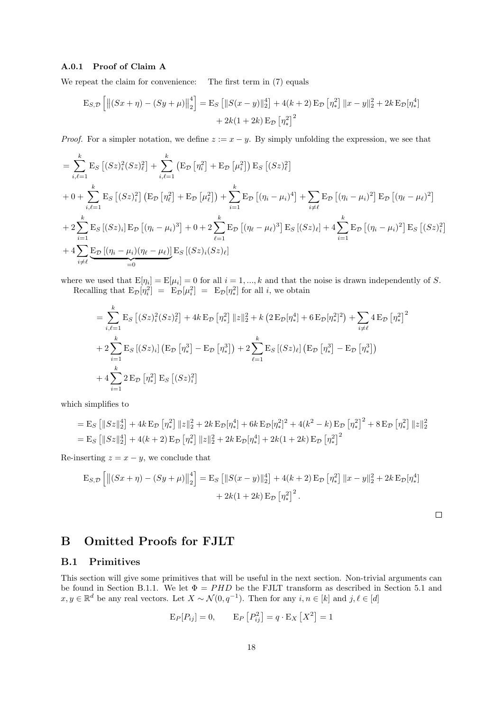#### A.0.1 Proof of Claim A

We repeat the claim for convenience: The first term in  $(7)$  equals

$$
\mathcal{E}_{S,\mathcal{D}}\left[\left\|\left(Sx+\eta\right)-\left(Sy+\mu\right)\right\|_{2}^{4}\right] = \mathcal{E}_{S}\left[\left\|S(x-y)\right\|_{2}^{4}\right] + 4(k+2)\mathcal{E}_{\mathcal{D}}\left[\eta_{*}^{2}\right]\left\|x-y\right\|_{2}^{2} + 2k\mathcal{E}_{\mathcal{D}}\left[\eta_{*}^{4}\right] + 2k(1+2k)\mathcal{E}_{\mathcal{D}}\left[\eta_{*}^{2}\right]^{2}
$$

*Proof.* For a simpler notation, we define  $z := x - y$ . By simply unfolding the expression, we see that

$$
= \sum_{i,\ell=1}^{k} \mathbf{E}_{S} \left[ (Sz)^{2}_{i} (Sz)^{2}_{\ell} \right] + \sum_{i,\ell=1}^{k} \left( \mathbf{E}_{\mathcal{D}} \left[ \eta_{i}^{2} \right] + \mathbf{E}_{\mathcal{D}} \left[ \mu_{i}^{2} \right] \right) \mathbf{E}_{S} \left[ (Sz)^{2}_{\ell} \right]
$$
  
+ 0 +  $\sum_{i,\ell=1}^{k} \mathbf{E}_{S} \left[ (Sz)^{2}_{i} \right] \left( \mathbf{E}_{\mathcal{D}} \left[ \eta_{\ell}^{2} \right] + \mathbf{E}_{\mathcal{D}} \left[ \mu_{\ell}^{2} \right] \right) + \sum_{i=1}^{k} \mathbf{E}_{\mathcal{D}} \left[ (\eta_{i} - \mu_{i})^{4} \right] + \sum_{i \neq \ell} \mathbf{E}_{\mathcal{D}} \left[ (\eta_{i} - \mu_{i})^{2} \right] \mathbf{E}_{\mathcal{D}} \left[ (\eta_{\ell} - \mu_{\ell})^{2} \right]$   
+ 2  $\sum_{i=1}^{k} \mathbf{E}_{S} \left[ (Sz)_{i} \right] \mathbf{E}_{\mathcal{D}} \left[ (\eta_{i} - \mu_{i})^{3} \right] + 0 + 2 \sum_{\ell=1}^{k} \mathbf{E}_{\mathcal{D}} \left[ (\eta_{\ell} - \mu_{\ell})^{3} \right] \mathbf{E}_{S} \left[ (Sz)_{\ell} \right] + 4 \sum_{i=1}^{k} \mathbf{E}_{\mathcal{D}} \left[ (\eta_{i} - \mu_{i})^{2} \right] \mathbf{E}_{S} \left[ (Sz)^{2}_{i} \right]$   
+ 4  $\sum_{i \neq \ell} \underbrace{\mathbf{E}_{\mathcal{D}} \left[ (\eta_{i} - \mu_{i}) (\eta_{\ell} - \mu_{\ell}) \right]}_{=0} \mathbf{E}_{S} \left[ (Sz)_{i} (Sz)_{\ell} \right]$ 

where we used that  $E[\eta_i] = E[\mu_i] = 0$  for all  $i = 1, ..., k$  and that the noise is drawn independently of S. Recalling that  $E_{\mathcal{D}}[\eta_i^2] = E_{\mathcal{D}}[\mu_i^2] = E_{\mathcal{D}}[\eta_*^2]$  for all *i*, we obtain

$$
= \sum_{i,\ell=1}^{k} \mathbf{E}_{S} \left[ (Sz)^{2}_{i} (Sz)^{2}_{\ell} \right] + 4k \mathbf{E}_{\mathcal{D}} \left[ \eta_{*}^{2} \right] \|z\|_{2}^{2} + k \left( 2 \mathbf{E}_{\mathcal{D}} [\eta_{*}^{4}] + 6 \mathbf{E}_{\mathcal{D}} [\eta_{*}^{2}]^{2} \right) + \sum_{i \neq \ell} 4 \mathbf{E}_{\mathcal{D}} \left[ \eta_{*}^{2} \right]^{2}
$$
  
+ 
$$
2 \sum_{i=1}^{k} \mathbf{E}_{S} \left[ (Sz)_{i} \right] \left( \mathbf{E}_{\mathcal{D}} \left[ \eta_{*}^{3} \right] - \mathbf{E}_{\mathcal{D}} \left[ \eta_{*}^{3} \right] \right) + 2 \sum_{\ell=1}^{k} \mathbf{E}_{S} \left[ (Sz)_{\ell} \right] \left( \mathbf{E}_{\mathcal{D}} \left[ \eta_{*}^{3} \right] - \mathbf{E}_{\mathcal{D}} \left[ \eta_{*}^{3} \right] \right)
$$
  
+ 
$$
4 \sum_{i=1}^{k} 2 \mathbf{E}_{\mathcal{D}} \left[ \eta_{*}^{2} \right] \mathbf{E}_{S} \left[ (Sz)^{2}_{i} \right]
$$

which simplifies to

$$
= \mathbf{E}_{S} \left[ \|Sz\|_{2}^{4} \right] + 4k \mathbf{E}_{D} \left[\eta_{*}^{2}\right] \|z\|_{2}^{2} + 2k \mathbf{E}_{D} \left[\eta_{*}^{4}\right] + 6k \mathbf{E}_{D} \left[\eta_{*}^{2}\right]^{2} + 4(k^{2} - k) \mathbf{E}_{D} \left[\eta_{*}^{2}\right]^{2} + 8 \mathbf{E}_{D} \left[\eta_{*}^{2}\right] \|z\|_{2}^{2}
$$

$$
= \mathbf{E}_{S} \left[ \|Sz\|_{2}^{4} \right] + 4(k+2) \mathbf{E}_{D} \left[\eta_{*}^{2}\right] \|z\|_{2}^{2} + 2k \mathbf{E}_{D} \left[\eta_{*}^{4}\right] + 2k(1+2k) \mathbf{E}_{D} \left[\eta_{*}^{2}\right]^{2}
$$

Re-inserting  $z = x - y$ , we conclude that

$$
\mathcal{E}_{S,\mathcal{D}}\left[\left\|(Sx+\eta) - (Sy+\mu)\right\|_{2}^{4}\right] = \mathcal{E}_{S}\left[\|S(x-y)\|_{2}^{4}\right] + 4(k+2)\mathcal{E}_{\mathcal{D}}\left[\eta_{*}^{2}\right]\|x-y\|_{2}^{2} + 2k\mathcal{E}_{\mathcal{D}}\left[\eta_{*}^{4}\right] + 2k(1+2k)\mathcal{E}_{\mathcal{D}}\left[\eta_{*}^{2}\right]^{2}.
$$

# B Omitted Proofs for FJLT

### B.1 Primitives

This section will give some primitives that will be useful in the next section. Non-trivial arguments can be found in Section B.1.1. We let  $\Phi = PHD$  be the FJLT transform as described in Section 5.1 and  $x, y \in \mathbb{R}^d$  be any real vectors. Let  $X \sim \mathcal{N}(0, q^{-1})$ . Then for any  $i, n \in [k]$  and  $j, \ell \in [d]$ 

$$
\mathcal{E}_P[P_{ij}] = 0, \qquad \mathcal{E}_P[P_{ij}^2] = q \cdot \mathcal{E}_X[X^2] = 1
$$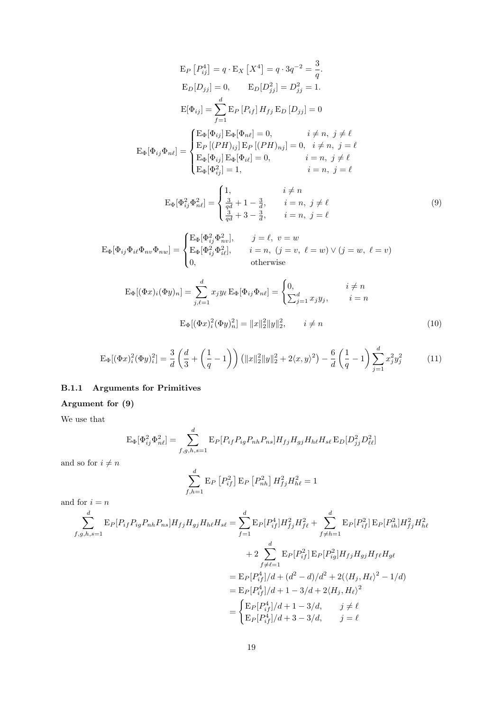$$
\mathbf{E}_{P} [P_{ij}^{4}] = q \cdot \mathbf{E}_{X} [X^{4}] = q \cdot 3q^{-2} = \frac{3}{q}.
$$
  
\n
$$
\mathbf{E}_{D}[D_{jj}] = 0, \qquad \mathbf{E}_{D}[D_{jj}^{2}] = D_{jj}^{2} = 1.
$$
  
\n
$$
\mathbf{E}[\Phi_{ij}] = \sum_{f=1}^{d} \mathbf{E}_{P} [P_{if}] H_{fj} \mathbf{E}_{D} [D_{jj}] = 0
$$
  
\n
$$
\mathbf{E}_{\Phi}[\Phi_{ij} \Phi_{n\ell}] = \begin{cases} \mathbf{E}_{\Phi}[\Phi_{ij}] \mathbf{E}_{\Phi}[\Phi_{n\ell}] = 0, & i \neq n, j \neq \ell \\ \mathbf{E}_{P} [(PH)_{ij}] \mathbf{E}_{P} [(PH)_{nj}] = 0, & i \neq n, j = \ell \\ \mathbf{E}_{\Phi}[\Phi_{ij}] \mathbf{E}_{\Phi}[\Phi_{i\ell}] = 0, & i = n, j \neq \ell \\ \mathbf{E}_{\Phi}[\Phi_{ij}^{2}] = 1, & i = n, j = \ell \end{cases}
$$

$$
\mathcal{E}_{\Phi}[\Phi_{ij}^{2}\Phi_{n\ell}^{2}] = \begin{cases} 1, & i \neq n \\ \frac{3}{qd} + 1 - \frac{3}{d}, & i = n, j \neq \ell \\ \frac{3}{qd} + 3 - \frac{3}{d}, & i = n, j = \ell \end{cases}
$$
(9)

$$
\mathcal{E}_{\Phi}[\Phi_{ij}\Phi_{i\ell}\Phi_{nv}\Phi_{nw}] = \begin{cases} \mathcal{E}_{\Phi}[\Phi_{ij}^2\Phi_{nv}^2], & j = \ell, v = w \\ \mathcal{E}_{\Phi}[\Phi_{ij}^2\Phi_{i\ell}^2], & i = n, (j = v, \ell = w) \lor (j = w, \ell = v) \\ 0, & \text{otherwise} \end{cases}
$$

$$
E_{\Phi}[(\Phi x)_i(\Phi y)_n] = \sum_{j,\ell=1}^d x_j y_\ell E_{\Phi}[\Phi_{ij}\Phi_{n\ell}] = \begin{cases} 0, & i \neq n \\ \sum_{j=1}^d x_j y_j, & i = n \end{cases}
$$

$$
E_{\Phi}[(\Phi x)_i^2(\Phi y)_n^2] = ||x||_2^2 ||y||_2^2, \qquad i \neq n
$$
(10)

$$
\mathcal{E}_{\Phi}[(\Phi x)^2_i(\Phi y)^2_i] = \frac{3}{d} \left( \frac{d}{3} + \left( \frac{1}{q} - 1 \right) \right) \left( \|x\|^2_2 \|y\|^2_2 + 2 \langle x, y \rangle^2 \right) - \frac{6}{d} \left( \frac{1}{q} - 1 \right) \sum_{j=1}^d x^2_j y^2_j \tag{11}
$$

# B.1.1 Arguments for Primitives

# Argument for (9)

We use that

$$
\mathcal{E}_{\Phi}[\Phi_{ij}^{2}\Phi_{n\ell}^{2}] = \sum_{f,g,h,s=1}^{d} \mathcal{E}_{P}[P_{if}P_{ig}P_{nh}P_{ns}]H_{fj}H_{gj}H_{h\ell}H_{s\ell}\mathcal{E}_{D}[D_{jj}^{2}D_{\ell\ell}^{2}]
$$

and so for  $i\neq n$ 

$$
\sum_{f,h=1}^{d} \mathbf{E}_{P} \left[ P_{if}^{2} \right] \mathbf{E}_{P} \left[ P_{nh}^{2} \right] H_{fj}^{2} H_{h\ell}^{2} = 1
$$

and for  $i=n$ 

$$
\sum_{f,g,h,s=1}^{d} \mathbb{E}_{P}[P_{if}P_{ig}P_{nh}P_{ns}]H_{fj}H_{gj}H_{h\ell}H_{s\ell} = \sum_{f=1}^{d} \mathbb{E}_{P}[P_{if}^{4}]H_{fj}^{2}H_{f\ell}^{2} + \sum_{f\neq h=1}^{d} \mathbb{E}_{P}[P_{if}^{2}] \mathbb{E}_{P}[P_{ih}^{2}]H_{fj}^{2}H_{h\ell}^{2}
$$

$$
+ 2 \sum_{f\neq \ell=1}^{d} \mathbb{E}_{P}[P_{if}^{2}] \mathbb{E}_{P}[P_{ig}^{2}]H_{fj}H_{gj}H_{f\ell}H_{g\ell}
$$

$$
= \mathbb{E}_{P}[P_{if}^{4}]/d + (d^{2} - d)/d^{2} + 2(\langle H_{j}, H_{\ell} \rangle^{2} - 1/d)
$$

$$
= \mathbb{E}_{P}[P_{if}^{4}]/d + 1 - 3/d + 2\langle H_{j}, H_{\ell} \rangle^{2}
$$

$$
= \begin{cases} \mathbb{E}_{P}[P_{if}^{4}]/d + 1 - 3/d, & j \neq \ell \\ \mathbb{E}_{P}[P_{if}^{4}]/d + 3 - 3/d, & j = \ell \end{cases}
$$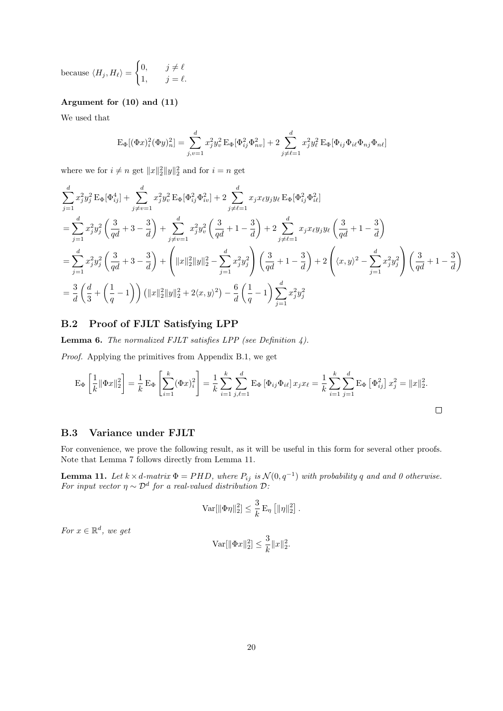because  $\langle H_j, H_\ell \rangle =$  $\int 0, \quad j \neq \ell$ 1,  $j = \ell$ .

### Argument for (10) and (11)

We used that

$$
\mathcal{E}_{\Phi}[(\Phi x)^2_i(\Phi y)^2_n] = \sum_{j,v=1}^d x^2_j y^2_v \mathcal{E}_{\Phi}[\Phi^2_{ij}\Phi^2_{nv}] + 2 \sum_{j \neq \ell=1}^d x^2_j y^2_\ell \mathcal{E}_{\Phi}[\Phi_{ij}\Phi_{i\ell}\Phi_{nj}\Phi_{n\ell}]
$$

where we for  $i \neq n$  get  $||x||_2^2 ||y||_2^2$  and for  $i = n$  get

$$
\sum_{j=1}^{d} x_{j}^{2} y_{j}^{2} \operatorname{E}_{\Phi}[\Phi_{ij}^{4}] + \sum_{j \neq v=1}^{d} x_{j}^{2} y_{v}^{2} \operatorname{E}_{\Phi}[\Phi_{ij}^{2} \Phi_{iv}^{2}] + 2 \sum_{j \neq \ell=1}^{d} x_{j} x_{\ell} y_{j} y_{\ell} \operatorname{E}_{\Phi}[\Phi_{ij}^{2} \Phi_{i\ell}^{2}]
$$
\n
$$
= \sum_{j=1}^{d} x_{j}^{2} y_{j}^{2} \left(\frac{3}{qd} + 3 - \frac{3}{d}\right) + \sum_{j \neq v=1}^{d} x_{j}^{2} y_{v}^{2} \left(\frac{3}{qd} + 1 - \frac{3}{d}\right) + 2 \sum_{j \neq \ell=1}^{d} x_{j} x_{\ell} y_{j} y_{\ell} \left(\frac{3}{qd} + 1 - \frac{3}{d}\right)
$$
\n
$$
= \sum_{j=1}^{d} x_{j}^{2} y_{j}^{2} \left(\frac{3}{qd} + 3 - \frac{3}{d}\right) + \left(\|x\|_{2}^{2} \|y\|_{2}^{2} - \sum_{j=1}^{d} x_{j}^{2} y_{j}^{2}\right) \left(\frac{3}{qd} + 1 - \frac{3}{d}\right) + 2 \left(\langle x, y \rangle^{2} - \sum_{j=1}^{d} x_{j}^{2} y_{j}^{2}\right) \left(\frac{3}{qd} + 1 - \frac{3}{d}\right)
$$
\n
$$
= \frac{3}{d} \left(\frac{d}{3} + \left(\frac{1}{q} - 1\right)\right) \left(\|x\|_{2}^{2} \|y\|_{2}^{2} + 2\langle x, y \rangle^{2}\right) - \frac{6}{d} \left(\frac{1}{q} - 1\right) \sum_{j=1}^{d} x_{j}^{2} y_{j}^{2}
$$

## B.2 Proof of FJLT Satisfying LPP

**Lemma 6.** The normalized FJLT satisfies LPP (see Definition 4).

Proof. Applying the primitives from Appendix B.1, we get

$$
\mathcal{E}_{\Phi}\left[\frac{1}{k}\|\Phi x\|_{2}^{2}\right] = \frac{1}{k}\mathcal{E}_{\Phi}\left[\sum_{i=1}^{k}(\Phi x)_{i}^{2}\right] = \frac{1}{k}\sum_{i=1}^{k}\sum_{j,\ell=1}^{d}\mathcal{E}_{\Phi}\left[\Phi_{ij}\Phi_{i\ell}\right]x_{j}x_{\ell} = \frac{1}{k}\sum_{i=1}^{k}\sum_{j=1}^{d}\mathcal{E}_{\Phi}\left[\Phi_{ij}^{2}\right]x_{j}^{2} = \|x\|_{2}^{2}.
$$

### B.3 Variance under FJLT

For convenience, we prove the following result, as it will be useful in this form for several other proofs. Note that Lemma 7 follows directly from Lemma 11.

**Lemma 11.** Let  $k \times d$ -matrix  $\Phi = PHD$ , where  $P_{ij}$  is  $\mathcal{N}(0, q^{-1})$  with probability q and and 0 otherwise. For input vector  $\eta \sim \mathcal{D}^d$  for a real-valued distribution  $\mathcal{D}$ :

$$
\text{Var}[\|\Phi\eta\|_2^2] \leq \frac{3}{k} \operatorname{E}_{\eta} \left[\|\eta\|_2^2\right].
$$

For  $x \in \mathbb{R}^d$ , we get

$$
\text{Var}[\|\Phi x\|_2^2] \le \frac{3}{k} \|x\|_2^2.
$$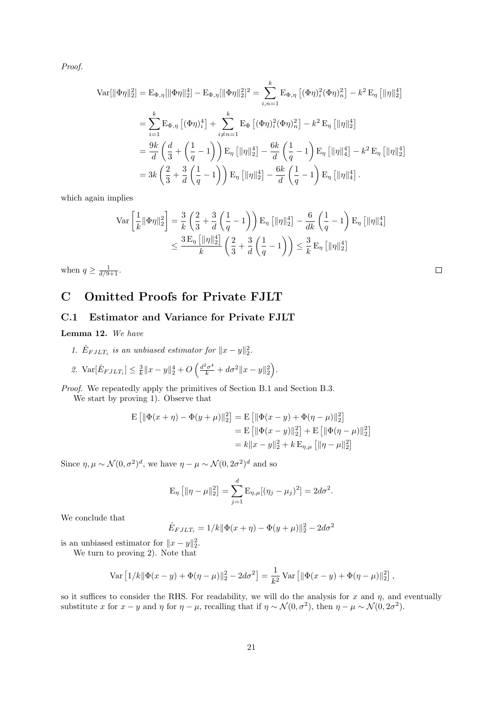Proof.

$$
\begin{split} \text{Var}[\|\Phi \eta\|_{2}^{2}] &= \mathcal{E}_{\Phi,\eta}[\|\Phi \eta\|_{2}^{4}] - \mathcal{E}_{\Phi,\eta}[\|\Phi \eta\|_{2}^{2}]^{2} = \sum_{i,n=1}^{k} \mathcal{E}_{\Phi,\eta} \left[ (\Phi \eta)_{i}^{2} (\Phi \eta)_{n}^{2} \right] - k^{2} \mathcal{E}_{\eta} \left[ \|\eta\|_{2}^{4} \right] \\ &= \sum_{i=1}^{k} \mathcal{E}_{\Phi,\eta} \left[ (\Phi \eta)_{i}^{4} \right] + \sum_{i \neq n=1}^{k} \mathcal{E}_{\Phi} \left[ (\Phi \eta)_{i}^{2} (\Phi \eta)_{n}^{2} \right] - k^{2} \mathcal{E}_{\eta} \left[ \|\eta\|_{2}^{4} \right] \\ &= \frac{9k}{d} \left( \frac{d}{3} + \left( \frac{1}{q} - 1 \right) \right) \mathcal{E}_{\eta} \left[ \|\eta\|_{2}^{4} \right] - \frac{6k}{d} \left( \frac{1}{q} - 1 \right) \mathcal{E}_{\eta} \left[ \|\eta\|_{4}^{4} \right] - k^{2} \mathcal{E}_{\eta} \left[ \|\eta\|_{2}^{4} \right] \\ &= 3k \left( \frac{2}{3} + \frac{3}{d} \left( \frac{1}{q} - 1 \right) \right) \mathcal{E}_{\eta} \left[ \|\eta\|_{2}^{4} \right] - \frac{6k}{d} \left( \frac{1}{q} - 1 \right) \mathcal{E}_{\eta} \left[ \|\eta\|_{4}^{4} \right]. \end{split}
$$

which again implies

$$
\operatorname{Var}\left[\frac{1}{k}\|\Phi\eta\|_2^2\right] = \frac{3}{k} \left(\frac{2}{3} + \frac{3}{d} \left(\frac{1}{q} - 1\right)\right) \operatorname{E}_{\eta}\left[\|\eta\|_2^4\right] - \frac{6}{dk} \left(\frac{1}{q} - 1\right) \operatorname{E}_{\eta}\left[\|\eta\|_4^4\right] \n\leq \frac{3 \operatorname{E}_{\eta}\left[\|\eta\|_{2}^4\right]}{k} \left(\frac{2}{3} + \frac{3}{d} \left(\frac{1}{q} - 1\right)\right) \leq \frac{3}{k} \operatorname{E}_{\eta}\left[\|\eta\|_{2}^4\right] \n\leq \frac{3 \operatorname{E}_{\eta}\left[\|\eta\|_{2}^4\right]}{k}
$$

when  $q \geq \frac{1}{d/9+1}$ .

# C Omitted Proofs for Private FJLT

### C.1 Estimator and Variance for Private FJLT

Lemma 12. We have

- 1.  $\hat{E}_{FJLT_i}$  is an unbiased estimator for  $||x-y||_2^2$ .
- 2.  $\text{Var}[\hat{E}_{FJLT_i}] \leq \frac{3}{k} ||x y||_2^4 + O\left(\frac{d^2\sigma^4}{k} + d\sigma^2 ||x y||_2^2\right).$

Proof. We repeatedly apply the primitives of Section B.1 and Section B.3. We start by proving 1). Observe that

$$
\mathbf{E} [ \|\Phi(x+\eta) - \Phi(y+\mu)\|_2^2 ] = \mathbf{E} [ \|\Phi(x-y) + \Phi(\eta-\mu)\|_2^2 ]
$$
  
= 
$$
\mathbf{E} [ \|\Phi(x-y)\|_2^2 ] + \mathbf{E} [ \|\Phi(\eta-\mu)\|_2^2 ]
$$
  
= 
$$
k \|x-y\|_2^2 + k \mathbf{E}_{\eta,\mu} [ \|\eta-\mu\|_2^2 ]
$$

Since  $\eta, \mu \sim \mathcal{N}(0, \sigma^2)^d$ , we have  $\eta - \mu \sim \mathcal{N}(0, 2\sigma^2)^d$  and so

$$
E_{\eta}\left[\|\eta-\mu\|_{2}^{2}\right]=\sum_{j=1}^{d}E_{\eta,\mu}[(\eta_{j}-\mu_{j})^{2}]=2d\sigma^{2}.
$$

We conclude that

$$
\hat{E}_{FJLT_i} = 1/k || \Phi(x + \eta) - \Phi(y + \mu) ||_2^2 - 2d\sigma^2
$$

is an unbiased estimator for  $||x - y||_2^2$ .

We turn to proving 2). Note that

Var 
$$
[1/k || \Phi(x - y) + \Phi(\eta - \mu)||_2^2 - 2d\sigma^2] = \frac{1}{k^2}
$$
Var  $[\|\Phi(x - y) + \Phi(\eta - \mu)||_2^2]$ ,

so it suffices to consider the RHS. For readability, we will do the analysis for x and  $\eta$ , and eventually substitute x for  $x - y$  and  $\eta$  for  $\eta - \mu$ , recalling that if  $\eta \sim \mathcal{N}(0, \sigma^2)$ , then  $\eta - \mu \sim \mathcal{N}(0, 2\sigma^2)$ .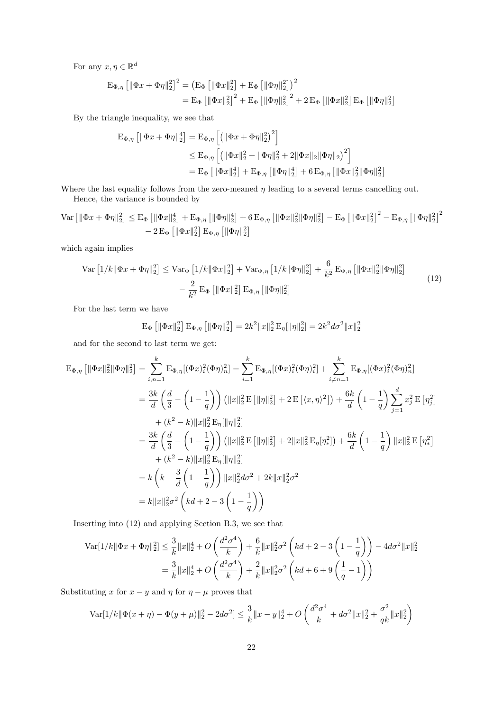For any  $x, \eta \in \mathbb{R}^d$ 

$$
\begin{aligned} \mathbf{E}_{\Phi,\eta} \left[ \|\Phi x + \Phi \eta\|_2^2 \right]^2 &= \left( \mathbf{E}_{\Phi} \left[ \|\Phi x\|_2^2 \right] + \mathbf{E}_{\Phi} \left[ \|\Phi \eta\|_2^2 \right] \right)^2 \\ &= \mathbf{E}_{\Phi} \left[ \|\Phi x\|_2^2 \right]^2 + \mathbf{E}_{\Phi} \left[ \|\Phi \eta\|_2^2 \right]^2 + 2 \mathbf{E}_{\Phi} \left[ \|\Phi x\|_2^2 \right] \mathbf{E}_{\Phi} \left[ \|\Phi \eta\|_2^2 \right] \end{aligned}
$$

By the triangle inequality, we see that

$$
\begin{aligned} \mathcal{E}_{\Phi,\eta} \left[ \|\Phi x + \Phi \eta\|_2^4 \right] &= \mathcal{E}_{\Phi,\eta} \left[ \left( \|\Phi x + \Phi \eta\|_2^2 \right)^2 \right] \\ &\leq \mathcal{E}_{\Phi,\eta} \left[ \left( \|\Phi x\|_2^2 + \|\Phi \eta\|_2^2 + 2 \|\Phi x\|_2 \|\Phi \eta\|_2 \right)^2 \right] \\ &= \mathcal{E}_{\Phi} \left[ \|\Phi x\|_2^4 \right] + \mathcal{E}_{\Phi,\eta} \left[ \|\Phi \eta\|_2^4 \right] + 6 \mathcal{E}_{\Phi,\eta} \left[ \|\Phi x\|_2^2 \|\Phi \eta\|_2^2 \right] \end{aligned}
$$

Where the last equality follows from the zero-meaned  $\eta$  leading to a several terms cancelling out. Hence, the variance is bounded by

$$
\operatorname{Var}\left[\|\Phi x + \Phi \eta\|_2^2\right] \leq E_{\Phi}\left[\|\Phi x\|_2^4\right] + E_{\Phi,\eta}\left[\|\Phi \eta\|_2^4\right] + 6 E_{\Phi,\eta}\left[\|\Phi x\|_2^2 \|\Phi \eta\|_2^2\right] - E_{\Phi}\left[\|\Phi x\|_2^2\right]^2 - E_{\Phi,\eta}\left[\|\Phi \eta\|_2^2\right]^2
$$
  
- 2  $E_{\Phi}\left[\|\Phi x\|_2^2\right] E_{\Phi,\eta}\left[\|\Phi \eta\|_2^2\right]$ 

which again implies

$$
\operatorname{Var}\left[1/k\|\Phi x + \Phi \eta\|_{2}^{2}\right] \leq \operatorname{Var}_{\Phi}\left[1/k\|\Phi x\|_{2}^{2}\right] + \operatorname{Var}_{\Phi,\eta}\left[1/k\|\Phi \eta\|_{2}^{2}\right] + \frac{6}{k^{2}} \operatorname{E}_{\Phi,\eta}\left[\|\Phi x\|_{2}^{2}\|\Phi \eta\|_{2}^{2}\right] - \frac{2}{k^{2}} \operatorname{E}_{\Phi}\left[\|\Phi x\|_{2}^{2}\right] \operatorname{E}_{\Phi,\eta}\left[\|\Phi \eta\|_{2}^{2}\right] \tag{12}
$$

For the last term we have

$$
\mathcal{E}_{\Phi}\left[\|\Phi x\|_{2}^{2}\right]\mathcal{E}_{\Phi,\eta}\left[\|\Phi \eta\|_{2}^{2}\right] = 2k^{2} \|x\|_{2}^{2} \mathcal{E}_{\eta}[\|\eta\|_{2}^{2}] = 2k^{2} d\sigma^{2} \|x\|_{2}^{2}
$$

and for the second to last term we get:

$$
\begin{split} \mathbf{E}_{\Phi,\eta} \left[ \|\Phi x\|_{2}^{2} \|\Phi \eta\|_{2}^{2} \right] &= \sum_{i,n=1}^{k} \mathbf{E}_{\Phi,\eta} [(\Phi x)_{i}^{2} (\Phi \eta)_{n}^{2}] = \sum_{i=1}^{k} \mathbf{E}_{\Phi,\eta} [(\Phi x)_{i}^{2} (\Phi \eta)_{i}^{2}] + \sum_{i \neq n=1}^{k} \mathbf{E}_{\Phi,\eta} [(\Phi x)_{i}^{2} (\Phi \eta)_{n}^{2}] \\ &= \frac{3k}{d} \left( \frac{d}{3} - \left( 1 - \frac{1}{q} \right) \right) \left( \|x\|_{2}^{2} \mathbf{E} \left[ \|\eta\|_{2}^{2} \right] + 2 \mathbf{E} \left[ \langle x, \eta \rangle^{2} \right] \right) + \frac{6k}{d} \left( 1 - \frac{1}{q} \right) \sum_{j=1}^{d} x_{j}^{2} \mathbf{E} \left[ \eta_{j}^{2} \right] \\ &+ (k^{2} - k) \|x\|_{2}^{2} \mathbf{E}_{\eta} [ \|\eta\|_{2}^{2} ] \\ &= \frac{3k}{d} \left( \frac{d}{3} - \left( 1 - \frac{1}{q} \right) \right) \left( \|x\|_{2}^{2} \mathbf{E} \left[ \|\eta\|_{2}^{2} \right] + 2 \|x\|_{2}^{2} \mathbf{E}_{\eta} [\eta_{*}^{2}] \right) + \frac{6k}{d} \left( 1 - \frac{1}{q} \right) \|x\|_{2}^{2} \mathbf{E} \left[ \eta_{*}^{2} \right] \\ &+ (k^{2} - k) \|x\|_{2}^{2} \mathbf{E}_{\eta} [ \|\eta\|_{2}^{2} ] \\ &= k \left( k - \frac{3}{d} \left( 1 - \frac{1}{q} \right) \right) \|x\|_{2}^{2} d \sigma^{2} + 2k \|x\|_{2}^{2} \sigma^{2} \\ &= k \|x\|_{2}^{2} \sigma^{2} \left( k d + 2 - 3 \left( 1 - \frac{1}{q} \right) \right) \end{split}
$$

Inserting into (12) and applying Section B.3, we see that

$$
\begin{aligned} \text{Var}[1/k \|\Phi x + \Phi \eta\|_2^2] &\leq \frac{3}{k} \|x\|_2^4 + O\left(\frac{d^2 \sigma^4}{k}\right) + \frac{6}{k} \|x\|_2^2 \sigma^2 \left(kd + 2 - 3\left(1 - \frac{1}{q}\right)\right) - 4d\sigma^2 \|x\|_2^2 \\ &= \frac{3}{k} \|x\|_2^4 + O\left(\frac{d^2 \sigma^4}{k}\right) + \frac{2}{k} \|x\|_2^2 \sigma^2 \left(kd + 6 + 9\left(\frac{1}{q} - 1\right)\right) \end{aligned}
$$

Substituting x for  $x - y$  and  $\eta$  for  $\eta - \mu$  proves that

$$
\text{Var}[1/k||\Phi(x+\eta) - \Phi(y+\mu)||_2^2 - 2d\sigma^2] \le \frac{3}{k}||x-y||_2^4 + O\left(\frac{d^2\sigma^4}{k} + d\sigma^2 ||x||_2^2 + \frac{\sigma^2}{qk} ||x||_2^2\right)
$$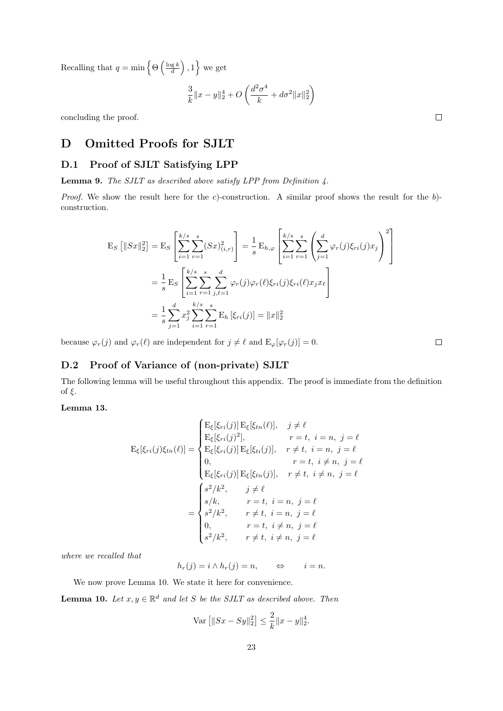Recalling that  $q = \min \left\{ \Theta\left(\frac{\log k}{d}\right), 1 \right\}$  we get

$$
\frac{3}{k}||x-y||_2^4 + O\left(\frac{d^2\sigma^4}{k} + d\sigma^2 ||x||_2^2\right)
$$

concluding the proof.

# D Omitted Proofs for SJLT

## D.1 Proof of SJLT Satisfying LPP

Lemma 9. The SJLT as described above satisfy LPP from Definition 4.

*Proof.* We show the result here for the c)-construction. A similar proof shows the result for the  $b$ )construction.

$$
\begin{split} \mathbf{E}_{S} \left[ \|Sx\|_{2}^{2} \right] &= \mathbf{E}_{S} \left[ \sum_{i=1}^{k/s} \sum_{r=1}^{s} (Sx)_{(i,r)}^{2} \right] = \frac{1}{s} \mathbf{E}_{h,\varphi} \left[ \sum_{i=1}^{k/s} \sum_{r=1}^{s} \left( \sum_{j=1}^{d} \varphi_{r}(j) \xi_{ri}(j) x_{j} \right)^{2} \right] \\ &= \frac{1}{s} \mathbf{E}_{S} \left[ \sum_{i=1}^{k/s} \sum_{r=1}^{s} \sum_{j,\ell=1}^{d} \varphi_{r}(j) \varphi_{r}(\ell) \xi_{ri}(j) \xi_{ri}(\ell) x_{j} x_{\ell} \right] \\ &= \frac{1}{s} \sum_{j=1}^{d} x_{j}^{2} \sum_{i=1}^{k/s} \sum_{r=1}^{s} \mathbf{E}_{h} \left[ \xi_{ri}(j) \right] = \|x\|_{2}^{2} \end{split}
$$

because  $\varphi_r(j)$  and  $\varphi_r(\ell)$  are independent for  $j \neq \ell$  and  $\mathbb{E}_{\varphi}[\varphi_r(j)] = 0$ .

 $\Box$ 

## D.2 Proof of Variance of (non-private) SJLT

The following lemma will be useful throughout this appendix. The proof is immediate from the definition of ξ.

### Lemma 13.

$$
E_{\xi}[\xi_{ri}(j)\xi_{tn}(\ell)] = \begin{cases} E_{\xi}[\xi_{ri}(j)] E_{\xi}[\xi_{tn}(\ell)], & j \neq \ell \\ E_{\xi}[\xi_{ri}(j)^{2}], & r = t, i = n, j = \ell \\ E_{\xi}[\xi_{ri}(j)] E_{\xi}[\xi_{ti}(j)], & r \neq t, i = n, j = \ell \\ 0, & r = t, i \neq n, j = \ell \\ E_{\xi}[\xi_{ri}(j)] E_{\xi}[\xi_{tn}(j)], & r \neq t, i \neq n, j = \ell \\ s/k, & r = t, i = n, j = \ell \\ s^{2}/k^{2}, & r \neq t, i = n, j = \ell \\ 0, & r = t, i \neq n, j = \ell \\ s^{2}/k^{2}, & r \neq t, i \neq n, j = \ell \end{cases}
$$

where we recalled that

$$
h_r(j) = i \wedge h_r(j) = n, \qquad \Leftrightarrow \qquad i = n.
$$

We now prove Lemma 10. We state it here for convenience.

**Lemma 10.** Let  $x, y \in \mathbb{R}^d$  and let S be the SJLT as described above. Then

$$
\text{Var}\left[\|Sx - Sy\|_2^2\right] \le \frac{2}{k} \|x - y\|_2^4.
$$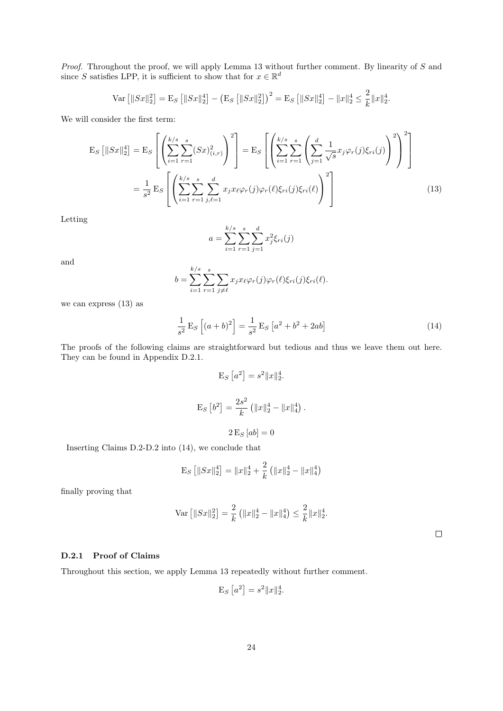Proof. Throughout the proof, we will apply Lemma 13 without further comment. By linearity of S and since S satisfies LPP, it is sufficient to show that for  $x \in \mathbb{R}^d$ 

$$
\text{Var}\left[\|Sx\|_2^2\right] = \text{E}_S\left[\|Sx\|_2^4\right] - \left(\text{E}_S\left[\|Sx\|_2^2\right]\right)^2 = \text{E}_S\left[\|Sx\|_2^4\right] - \|x\|_2^4 \le \frac{2}{k} \|x\|_2^4.
$$

We will consider the first term:

$$
E_S [||Sx||_2^4] = E_S \left[ \left( \sum_{i=1}^{k/s} \sum_{r=1}^s (Sx)_{(i,r)}^2 \right)^2 \right] = E_S \left[ \left( \sum_{i=1}^{k/s} \sum_{r=1}^s \left( \sum_{j=1}^d \frac{1}{\sqrt{s}} x_j \varphi_r(j) \xi_{ri}(j) \right)^2 \right)^2 \right]
$$
  

$$
= \frac{1}{s^2} E_S \left[ \left( \sum_{i=1}^{k/s} \sum_{r=1}^s \sum_{j,\ell=1}^d x_j x_\ell \varphi_r(j) \varphi_r(\ell) \xi_{ri}(j) \xi_{ri}(\ell) \right)^2 \right]
$$
(13)

Letting

$$
a = \sum_{i=1}^{k/s} \sum_{r=1}^{s} \sum_{j=1}^{d} x_j^2 \xi_{ri}(j)
$$

and

$$
b = \sum_{i=1}^{k/s} \sum_{r=1}^{s} \sum_{j \neq \ell} x_j x_{\ell} \varphi_r(j) \varphi_r(\ell) \xi_{ri}(j) \xi_{ri}(\ell).
$$

we can express (13) as

$$
\frac{1}{s^2} \mathcal{E}_S \left[ (a+b)^2 \right] = \frac{1}{s^2} \mathcal{E}_S \left[ a^2 + b^2 + 2ab \right] \tag{14}
$$

The proofs of the following claims are straightforward but tedious and thus we leave them out here. They can be found in Appendix D.2.1.

$$
E_S [a^2] = s^2 ||x||_2^4.
$$
  

$$
E_S [b^2] = \frac{2s^2}{k} (||x||_2^4 - ||x||_4^4).
$$
  

$$
2 E_S [ab] = 0
$$

Inserting Claims D.2-D.2 into (14), we conclude that

$$
\mathcal{E}_S\left[\|Sx\|_2^4\right] = \|x\|_2^4 + \frac{2}{k}\left(\|x\|_2^4 - \|x\|_4^4\right)
$$

finally proving that

$$
\operatorname{Var} \left[ \|Sx\|_2^2 \right] = \frac{2}{k} \left( \|x\|_2^4 - \|x\|_4^4 \right) \le \frac{2}{k} \|x\|_2^4.
$$

 $\Box$ 

#### D.2.1 Proof of Claims

Throughout this section, we apply Lemma 13 repeatedly without further comment.

$$
E_S [a^2] = s^2 ||x||_2^4.
$$